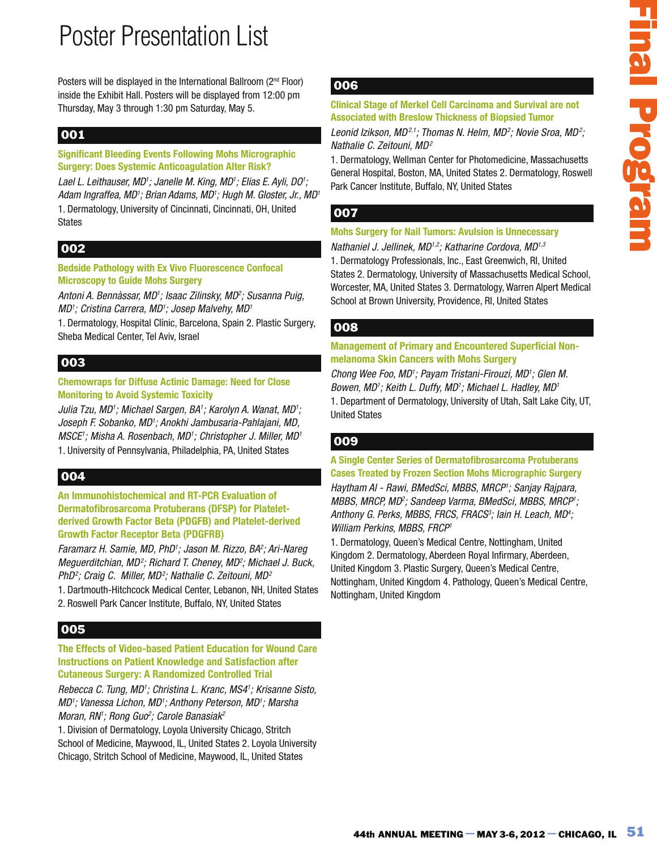Posters will be displayed in the International Ballroom (2<sup>nd</sup> Floor) inside the Exhibit Hall. Posters will be displayed from 12:00 pm Thursday, May 3 through 1:30 pm Saturday, May 5.

### 001

**Significant Bleeding Events Following Mohs Micrographic Surgery: Does Systemic Anticoagulation Alter Risk?**

Lael L. Leithauser, MD<sup>1</sup>; Janelle M. King, MD<sup>1</sup>; Elias E. Ayli, DO<sup>1</sup>; Adam Ingraffea, MD<sup>1</sup>; Brian Adams, MD<sup>1</sup>; Hugh M. Gloster, Jr., MD<sup>1</sup> 1. Dermatology, University of Cincinnati, Cincinnati, OH, United States

### 002

**Bedside Pathology with Ex Vivo Fluorescence Confocal Microscopy to Guide Mohs Surgery**

Antoni A. Bennàssar, MD<sup>1</sup>; Isaac Zilinsky, MD<sup>2</sup>; Susanna Puig, MD1; Cristina Carrera, MD1; Josep Malvehy, MD1

1. Dermatology, Hospital Clínic, Barcelona, Spain 2. Plastic Surgery, Sheba Medical Center, Tel Aviv, Israel

### 003

**Chemowraps for Diffuse Actinic Damage: Need for Close Monitoring to Avoid Systemic Toxicity**

Julia Tzu, MD<sup>1</sup>; Michael Sargen, BA<sup>1</sup>; Karolyn A. Wanat, MD<sup>1</sup>; Joseph F. Sobanko, MD†; Anokhi Jambusaria-Pahlajani, MD, MSCE'; Misha A. Rosenbach, MD'; Christopher J. Miller, MD' 1. University of Pennsylvania, Philadelphia, PA, United States

## 004

**An Immunohistochemical and RT-PCR Evaluation of Dermatofibrosarcoma Protuberans (DFSP) for Plateletderived Growth Factor Beta (PDGFB) and Platelet-derived Growth Factor Receptor Beta (PDGFRB)**

Faramarz H. Samie, MD, PhD<sup>1</sup>; Jason M. Rizzo, BA<sup>2</sup>; Ari-Nareg Meguerditchian, MD<sup>2</sup>; Richard T. Cheney, MD<sup>2</sup>; Michael J. Buck, PhD<sup>2</sup>; Craig C. Miller, MD<sup>2</sup>; Nathalie C. Zeitouni, MD<sup>2</sup>

1. Dartmouth-Hitchcock Medical Center, Lebanon, NH, United States 2. Roswell Park Cancer Institute, Buffalo, NY, United States

## 005

**The Effects of Video-based Patient Education for Wound Care Instructions on Patient Knowledge and Satisfaction after Cutaneous Surgery: A Randomized Controlled Trial**

Rebecca C. Tung, MD<sup>1</sup>; Christina L. Kranc, MS4<sup>1</sup>; Krisanne Sisto, MD'; Vanessa Lichon, MD'; Anthony Peterson, MD'; Marsha Moran, RN'; Rong Guo<sup>2</sup>; Carole Banasiak<sup>2</sup>

1. Division of Dermatology, Loyola University Chicago, Stritch School of Medicine, Maywood, IL, United States 2. Loyola University Chicago, Stritch School of Medicine, Maywood, IL, United States

### 006

#### **Clinical Stage of Merkel Cell Carcinoma and Survival are not Associated with Breslow Thickness of Biopsied Tumor**

Leonid Izikson, MD21; Thomas N. Helm, MD2; Novie Sroa, MD2; Nathalie C. Zeitouni, MD<sup>2</sup>

1. Dermatology, Wellman Center for Photomedicine, Massachusetts General Hospital, Boston, MA, United States 2. Dermatology, Roswell Park Cancer Institute, Buffalo, NY, United States

### 007

### **Mohs Surgery for Nail Tumors: Avulsion is Unnecessary**

Nathaniel J. Jellinek, MD<sup>1,2</sup>; Katharine Cordova, MD<sup>1,3</sup>

1. Dermatology Professionals, Inc., East Greenwich, RI, United States 2. Dermatology, University of Massachusetts Medical School, Worcester, MA, United States 3. Dermatology, Warren Alpert Medical School at Brown University, Providence, RI, United States

### 008

### **Management of Primary and Encountered Superficial Nonmelanoma Skin Cancers with Mohs Surgery**

Chong Wee Foo, MD<sup>1</sup>; Payam Tristani-Firouzi, MD<sup>1</sup>; Glen M. Bowen, MD1; Keith L. Duffy, MD1; Michael L. Hadley, MD1 1. Department of Dermatology, University of Utah, Salt Lake City, UT, United States

### 009

**A Single Center Series of Dermatofibrosarcoma Protuberans Cases Treated by Frozen Section Mohs Micrographic Surgery**

Haytham AI - Rawi, BMedSci, MBBS, MRCP'; Sanjay Rajpara, MBBS, MRCP, MD<sup>2</sup> ; Sandeep Varma, BMedSci, MBBS, MRCP<sup>1</sup> ; Anthony G. Perks, MBBS, FRCS, FRACS<sup>3</sup>; lain H. Leach, MD<sup>4</sup>; William Perkins, MBBS, FRCP<sup>1</sup>

**Example 10** Merkel Cell Carolinoma and Survivel are not<br>
dichicant Mores (Merkens of Biogelet Tunner<br>
dichicant More)<sup>2</sup>. Thomas M Helm, MO?: Work Soo, MO?<br>
MeC C-hillowin, MO<sup>2</sup>?: Thomas M Helm, MO<sup>2</sup>; Work Soo, MO2<br>
ele 1. Dermatology, Queen's Medical Centre, Nottingham, United Kingdom 2. Dermatology, Aberdeen Royal Infirmary, Aberdeen, United Kingdom 3. Plastic Surgery, Queen's Medical Centre, Nottingham, United Kingdom 4. Pathology, Queen's Medical Centre, Nottingham, United Kingdom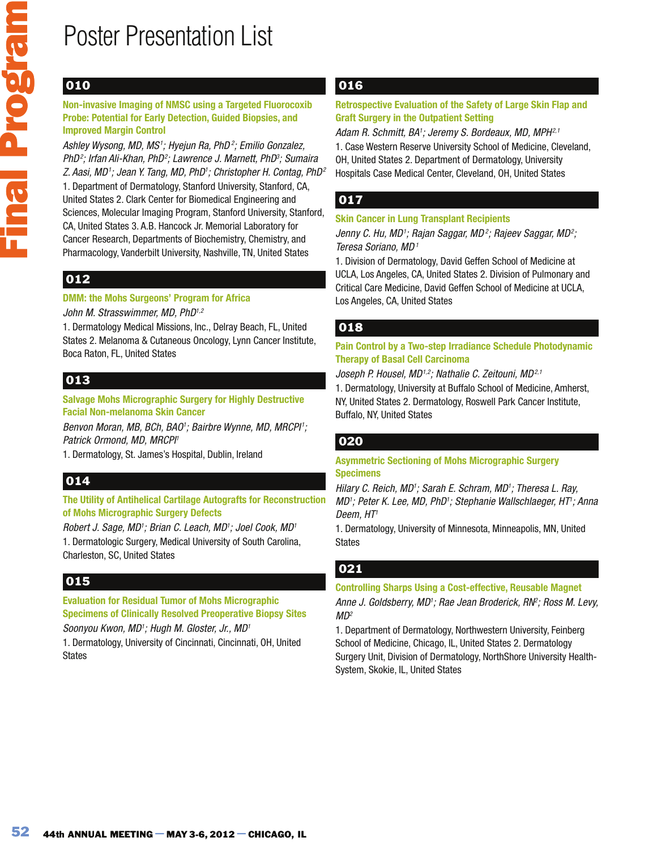## 010

#### **Non-invasive Imaging of NMSC using a Targeted Fluorocoxib Probe: Potential for Early Detection, Guided Biopsies, and Improved Margin Control**

Ashley Wysong, MD, MS<sup>1</sup>; Hyejun Ra, PhD<sup>2</sup>; Emilio Gonzalez, PhD<sup>2</sup>; Irfan Ali-Khan, PhD<sup>2</sup>; Lawrence J. Marnett, PhD<sup>3</sup>; Sumaira Z. Aasi, MD1; Jean Y. Tang, MD, PhD1; Christopher H. Contag, PhD<sup>2</sup> 1. Department of Dermatology, Stanford University, Stanford, CA, United States 2. Clark Center for Biomedical Engineering and Sciences, Molecular Imaging Program, Stanford University, Stanford, CA, United States 3. A.B. Hancock Jr. Memorial Laboratory for Cancer Research, Departments of Biochemistry, Chemistry, and Pharmacology, Vanderbilt University, Nashville, TN, United States

## 012

### **DMM: the Mohs Surgeons' Program for Africa**

### John M. Strasswimmer, MD, PhD<sup>1,2</sup>

1. Dermatology Medical Missions, Inc., Delray Beach, FL, United States 2. Melanoma & Cutaneous Oncology, Lynn Cancer Institute, Boca Raton, FL, United States

## 013

### **Salvage Mohs Micrographic Surgery for Highly Destructive Facial Non-melanoma Skin Cancer**

Benvon Moran, MB, BCh, BAO'; Bairbre Wynne, MD, MRCPI'; Patrick Ormond, MD, MRCPI<sup>1</sup>

1. Dermatology, St. James's Hospital, Dublin, Ireland

## 014

### **The Utility of Antihelical Cartilage Autografts for Reconstruction of Mohs Micrographic Surgery Defects**

Robert J. Sage, MD<sup>1</sup>; Brian C. Leach, MD<sup>1</sup>; Joel Cook, MD<sup>1</sup> 1. Dermatologic Surgery, Medical University of South Carolina, Charleston, SC, United States

## 015

### **Evaluation for Residual Tumor of Mohs Micrographic Specimens of Clinically Resolved Preoperative Biopsy Sites**

Soonyou Kwon, MD<sup>1</sup>; Hugh M. Gloster, Jr., MD<sup>1</sup>

1. Dermatology, University of Cincinnati, Cincinnati, OH, United States

## 016

### **Retrospective Evaluation of the Safety of Large Skin Flap and Graft Surgery in the Outpatient Setting**

Adam R. Schmitt, BA<sup>1</sup>; Jeremy S. Bordeaux, MD, MPH<sup>2,1</sup> 1. Case Western Reserve University School of Medicine, Cleveland, OH, United States 2. Department of Dermatology, University Hospitals Case Medical Center, Cleveland, OH, United States

## 017

### **Skin Cancer in Lung Transplant Recipients**

Jenny C. Hu, MD1; Rajan Saggar, MD2; Rajeev Saggar, MD2; Teresa Soriano, MD<sup>1</sup>

1. Division of Dermatology, David Geffen School of Medicine at UCLA, Los Angeles, CA, United States 2. Division of Pulmonary and Critical Care Medicine, David Geffen School of Medicine at UCLA, Los Angeles, CA, United States

### 018

### **Pain Control by a Two-step Irradiance Schedule Photodynamic Therapy of Basal Cell Carcinoma**

Joseph P. Housel, MD<sup>1,2</sup>; Nathalie C. Zeitouni, MD<sup>2,1</sup>

1. Dermatology, University at Buffalo School of Medicine, Amherst, NY, United States 2. Dermatology, Roswell Park Cancer Institute, Buffalo, NY, United States

### 020

#### **Asymmetric Sectioning of Mohs Micrographic Surgery Specimens**

Hilary C. Reich, MD<sup>1</sup>; Sarah E. Schram, MD<sup>1</sup>; Theresa L. Ray, MD'; Peter K. Lee, MD, PhD'; Stephanie Wallschlaeger, HT'; Anna Deem, HT<sup>1</sup>

1. Dermatology, University of Minnesota, Minneapolis, MN, United States

## 021

### **Controlling Sharps Using a Cost-effective, Reusable Magnet**  Anne J. Goldsberry, MD<sup>1</sup>; Rae Jean Broderick, RN<sup>e</sup>; Ross M. Levy, MD<sup>2</sup>

1. Department of Dermatology, Northwestern University, Feinberg School of Medicine, Chicago, IL, United States 2. Dermatology Surgery Unit, Division of Dermatology, NorthShore University Health-System, Skokie, IL, United States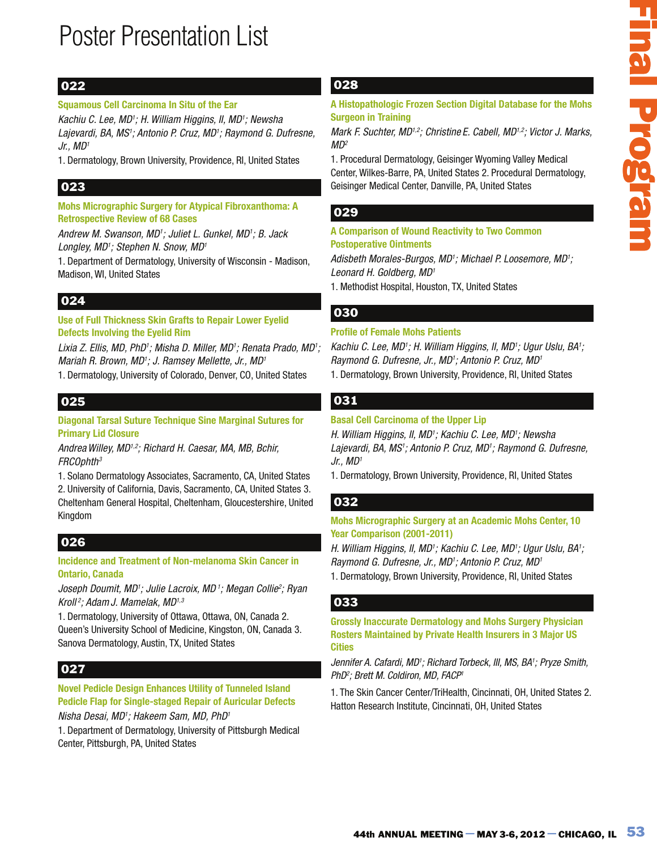### 022

### **Squamous Cell Carcinoma In Situ of the Ear**

Kachiu C. Lee, MD<sup>1</sup>; H. William Higgins, II, MD<sup>1</sup>; Newsha Lajevardi, BA, MS<sup>1</sup>; Antonio P. Cruz, MD<sup>1</sup>; Raymond G. Dufresne,  $Jr$ ., MD<sup>1</sup>

1. Dermatology, Brown University, Providence, RI, United States

### 023

**Mohs Micrographic Surgery for Atypical Fibroxanthoma: A Retrospective Review of 68 Cases** 

Andrew M. Swanson, MD<sup>1</sup>; Juliet L. Gunkel, MD<sup>1</sup>; B. Jack Longley, MD<sup>1</sup>; Stephen N. Snow, MD<sup>1</sup>

1. Department of Dermatology, University of Wisconsin - Madison, Madison, WI, United States

## 024

**Use of Full Thickness Skin Grafts to Repair Lower Eyelid Defects Involving the Eyelid Rim** 

Lixia Z. Ellis, MD, PhD'; Misha D. Miller, MD'; Renata Prado, MD'; Mariah R. Brown, MD<sup>1</sup>; J. Ramsey Mellette, Jr., MD<sup>1</sup>

1. Dermatology, University of Colorado, Denver, CO, United States

### 025

**Diagonal Tarsal Suture Technique Sine Marginal Sutures for Primary Lid Closure** 

Andrea Willey, MD<sup>1,2</sup>; Richard H. Caesar, MA, MB, Bchir, FRCOphth<sup>3</sup>

1. Solano Dermatology Associates, Sacramento, CA, United States

2. University of California, Davis, Sacramento, CA, United States 3. Cheltenham General Hospital, Cheltenham, Gloucestershire, United Kingdom

## 026

#### **Incidence and Treatment of Non-melanoma Skin Cancer in Ontario, Canada**

Joseph Doumit, MD<sup>1</sup>; Julie Lacroix, MD<sup>1</sup>; Megan Collie<sup>2</sup>; Ryan Kroll<sup>2</sup>; Adam J. Mamelak, MD<sup>1,3</sup>

1. Dermatology, University of Ottawa, Ottawa, ON, Canada 2. Queen's University School of Medicine, Kingston, ON, Canada 3. Sanova Dermatology, Austin, TX, United States

## 027

**Novel Pedicle Design Enhances Utility of Tunneled Island Pedicle Flap for Single-staged Repair of Auricular Defects**  Nisha Desai, MD'; Hakeem Sam, MD, PhD'

1. Department of Dermatology, University of Pittsburgh Medical Center, Pittsburgh, PA, United States

### 028

**A Histopathologic Frozen Section Digital Database for the Mohs Surgeon in Training** 

Mark F. Suchter, MD<sup>1,2</sup>; Christine E. Cabell, MD<sup>1,2</sup>; Victor J. Marks,  $MD<sup>2</sup>$ 

1. Procedural Dermatology, Geisinger Wyoming Valley Medical Center, Wilkes-Barre, PA, United States 2. Procedural Dermatology, Geisinger Medical Center, Danville, PA, United States

### 029

#### **A Comparison of Wound Reactivity to Two Common Postoperative Ointments**

Adisbeth Morales-Burgos, MD<sup>1</sup>; Michael P. Loosemore, MD<sup>1</sup>; Leonard H. Goldberg, MD<sup>1</sup>

1. Methodist Hospital, Houston, TX, United States

### 030

### **Profile of Female Mohs Patients**

Kachiu C. Lee, MD'; H. William Higgins, II, MD'; Ugur Uslu, BA'; Raymond G. Dufresne, Jr., MD<sup>1</sup>; Antonio P. Cruz, MD<sup>1</sup> 1. Dermatology, Brown University, Providence, RI, United States

### 031

### **Basal Cell Carcinoma of the Upper Lip**

**Example 10.1**<br>
The Training<br>
56, 5 Suchday, MO<sup>23</sup>; Consistence Cobel, MO<sup>23</sup>; Victor J. Marks,<br>
56, 2016/hot, MO<sup>23</sup>; Consistence Cobel, MO<sup>23</sup>; Victor J. Marks,<br>
44th Annual Demnatology, Geislanger Wyoming Valley Medica H. William Higgins, II, MD<sup>1</sup>; Kachiu C. Lee, MD<sup>1</sup>; Newsha Lajevardi, BA, MS<sup>1</sup>; Antonio P. Cruz, MD<sup>1</sup>; Raymond G. Dufresne,  $Jr$ ., MD<sup>1</sup>

1. Dermatology, Brown University, Providence, RI, United States

### 032

### **Mohs Micrographic Surgery at an Academic Mohs Center, 10 Year Comparison (2001-2011)**

H. William Higgins, II, MD<sup>1</sup>; Kachiu C. Lee, MD<sup>1</sup>; Ugur Uslu, BA<sup>1</sup>; Raymond G. Dufresne, Jr., MD<sup>1</sup>; Antonio P. Cruz, MD<sup>1</sup>

1. Dermatology, Brown University, Providence, RI, United States

### 033

**Grossly Inaccurate Dermatology and Mohs Surgery Physician Rosters Maintained by Private Health Insurers in 3 Major US Cities** 

Jennifer A. Cafardi, MD<sup>1</sup>; Richard Torbeck, III, MS, BA<sup>1</sup>; Pryze Smith, PhD<sup>2</sup> ; Brett M. Coldiron, MD, FACP<sup>1</sup>

1. The Skin Cancer Center/TriHealth, Cincinnati, OH, United States 2. Hatton Research Institute, Cincinnati, OH, United States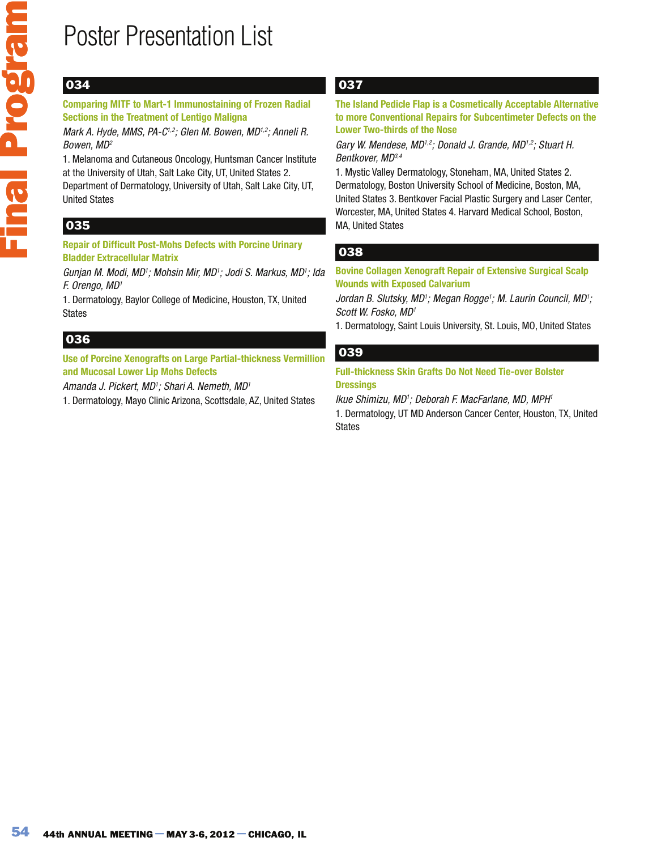## 034

#### **Comparing MITF to Mart-1 Immunostaining of Frozen Radial Sections in the Treatment of Lentigo Maligna**

Mark A. Hyde, MMS, PA-C<sup>1,2</sup>; Glen M. Bowen, MD<sup>1,2</sup>; Anneli R. Bowen, MD<sup>2</sup>

1. Melanoma and Cutaneous Oncology, Huntsman Cancer Institute at the University of Utah, Salt Lake City, UT, United States 2.

Department of Dermatology, University of Utah, Salt Lake City, UT, United States

## 035

### **Repair of Difficult Post-Mohs Defects with Porcine Urinary Bladder Extracellular Matrix**

Gunjan M. Modi, MD<sup>1</sup>; Mohsin Mir, MD<sup>1</sup>; Jodi S. Markus, MD<sup>1</sup>; Ida F. Orengo, MD<sup>1</sup>

1. Dermatology, Baylor College of Medicine, Houston, TX, United States

## 036

**Use of Porcine Xenografts on Large Partial-thickness Vermillion and Mucosal Lower Lip Mohs Defects** 

Amanda J. Pickert, MD<sup>1</sup>; Shari A. Nemeth, MD<sup>1</sup>

1. Dermatology, Mayo Clinic Arizona, Scottsdale, AZ, United States

## 037

**The Island Pedicle Flap is a Cosmetically Acceptable Alternative to more Conventional Repairs for Subcentimeter Defects on the Lower Two-thirds of the Nose**

Gary W. Mendese, MD<sup>1,2</sup>; Donald J. Grande, MD<sup>1,2</sup>; Stuart H. Bentkover, MD3,4

1. Mystic Valley Dermatology, Stoneham, MA, United States 2. Dermatology, Boston University School of Medicine, Boston, MA, United States 3. Bentkover Facial Plastic Surgery and Laser Center, Worcester, MA, United States 4. Harvard Medical School, Boston, MA, United States

## 038

**Bovine Collagen Xenograft Repair of Extensive Surgical Scalp Wounds with Exposed Calvarium** 

Jordan B. Slutsky, MD<sup>1</sup>; Megan Rogge<sup>1</sup>; M. Laurin Council, MD<sup>1</sup>; Scott W. Fosko, MD<sup>1</sup>

1. Dermatology, Saint Louis University, St. Louis, MO, United States

### 039

**Full-thickness Skin Grafts Do Not Need Tie-over Bolster Dressings** 

Ikue Shimizu, MD1; Deborah F. MacFarlane, MD, MPH1 1. Dermatology, UT MD Anderson Cancer Center, Houston, TX, United States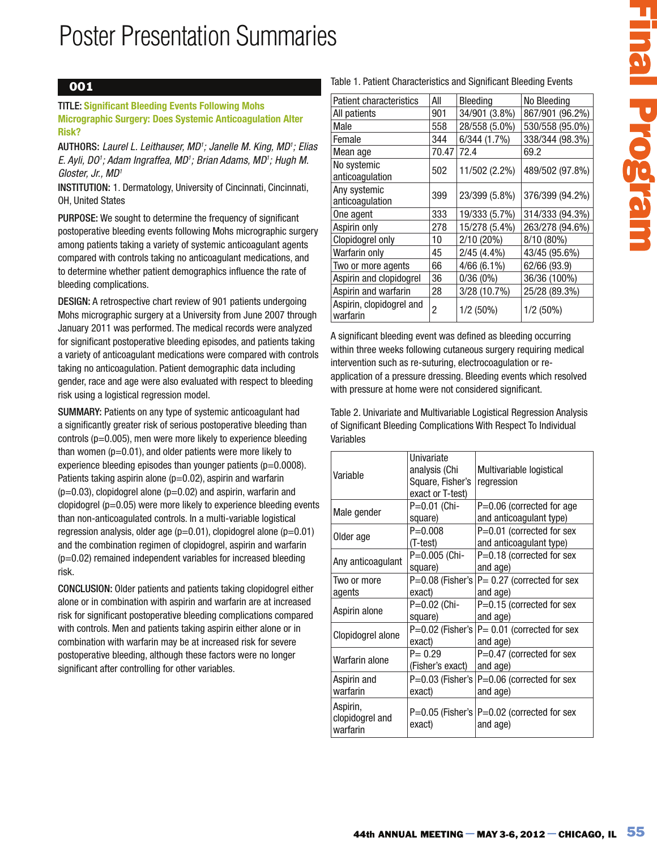### 001

TITLE: **Significant Bleeding Events Following Mohs Micrographic Surgery: Does Systemic Anticoagulation Alter Risk?**

AUTHORS: Laurel L. Leithauser, MD<sup>1</sup>; Janelle M. King, MD<sup>1</sup>; Elias E. Ayli, D0'; Adam Ingraffea, MD'; Brian Adams, MD'; Hugh M. Gloster, Jr., MD<sup>1</sup>

INSTITUTION: 1. Dermatology, University of Cincinnati, Cincinnati, OH, United States

PURPOSE: We sought to determine the frequency of significant postoperative bleeding events following Mohs micrographic surgery among patients taking a variety of systemic anticoagulant agents compared with controls taking no anticoagulant medications, and to determine whether patient demographics influence the rate of bleeding complications.

DESIGN: A retrospective chart review of 901 patients undergoing Mohs micrographic surgery at a University from June 2007 through January 2011 was performed. The medical records were analyzed for significant postoperative bleeding episodes, and patients taking a variety of anticoagulant medications were compared with controls taking no anticoagulation. Patient demographic data including gender, race and age were also evaluated with respect to bleeding risk using a logistical regression model.

SUMMARY: Patients on any type of systemic anticoagulant had a significantly greater risk of serious postoperative bleeding than controls (p=0.005), men were more likely to experience bleeding than women  $(p=0.01)$ , and older patients were more likely to experience bleeding episodes than younger patients  $(p=0.0008)$ . Patients taking aspirin alone  $(p=0.02)$ , aspirin and warfarin  $(p=0.03)$ , clopidogrel alone  $(p=0.02)$  and aspirin, warfarin and clopidogrel ( $p=0.05$ ) were more likely to experience bleeding events than non-anticoagulated controls. In a multi-variable logistical regression analysis, older age  $(p=0.01)$ , clopidogrel alone  $(p=0.01)$ and the combination regimen of clopidogrel, aspirin and warfarin (p=0.02) remained independent variables for increased bleeding risk.

CONCLUSION: Older patients and patients taking clopidogrel either alone or in combination with aspirin and warfarin are at increased risk for significant postoperative bleeding complications compared with controls. Men and patients taking aspirin either alone or in combination with warfarin may be at increased risk for severe postoperative bleeding, although these factors were no longer significant after controlling for other variables.

#### Table 1. Patient Characteristics and Significant Bleeding Events

| <b>Patient characteristics</b>       | All   | Bleeding      | No Bleeding     |
|--------------------------------------|-------|---------------|-----------------|
| All patients                         | 901   | 34/901 (3.8%) | 867/901 (96.2%) |
| Male                                 | 558   | 28/558 (5.0%) | 530/558 (95.0%) |
| Female                               | 344   | 6/344(1.7%)   | 338/344 (98.3%) |
| Mean age                             | 70.47 | 72.4          | 69.2            |
| No systemic<br>anticoagulation       | 502   | 11/502 (2.2%) | 489/502 (97.8%) |
| Any systemic<br>anticoagulation      | 399   | 23/399 (5.8%) | 376/399 (94.2%) |
| One agent                            | 333   | 19/333 (5.7%) | 314/333 (94.3%) |
| Aspirin only                         | 278   | 15/278 (5.4%) | 263/278 (94.6%) |
| Clopidogrel only                     | 10    | 2/10 (20%)    | 8/10 (80%)      |
| Warfarin only                        | 45    | $2/45(4.4\%)$ | 43/45 (95.6%)   |
| Two or more agents                   | 66    | $4/66(6.1\%)$ | 62/66 (93.9)    |
| Aspirin and clopidogrel              | 36    | 0/36(0%)      | 36/36 (100%)    |
| Aspirin and warfarin                 | 28    | 3/28 (10.7%)  | 25/28 (89.3%)   |
| Aspirin, clopidogrel and<br>warfarin | 2     | $1/2(50\%)$   | $1/2$ (50%)     |

|                                                                                                                                                                                                                 | Patient characteristics | All                  | Bleeding |                               | No Bleeding                                                                                                                       |
|-----------------------------------------------------------------------------------------------------------------------------------------------------------------------------------------------------------------|-------------------------|----------------------|----------|-------------------------------|-----------------------------------------------------------------------------------------------------------------------------------|
| All patients                                                                                                                                                                                                    |                         | 901                  |          | 34/901 (3.8%)                 | 867/901 (96.2%)                                                                                                                   |
| Male                                                                                                                                                                                                            |                         | 558                  |          | 28/558 (5.0%)                 | 530/558 (95.0%)                                                                                                                   |
| Female                                                                                                                                                                                                          |                         | 344                  |          | 6/344 (1.7%)                  | 338/344 (98.3%)                                                                                                                   |
| Mean age                                                                                                                                                                                                        |                         | 70.47                | 72.4     |                               | 69.2                                                                                                                              |
| No systemic<br>anticoagulation                                                                                                                                                                                  |                         | 502                  |          | 11/502 (2.2%)                 | 489/502 (97.8%)                                                                                                                   |
| Any systemic<br>anticoagulation                                                                                                                                                                                 |                         | 399                  |          | 23/399 (5.8%)                 | 376/399 (94.2%)                                                                                                                   |
| One agent                                                                                                                                                                                                       |                         | 333                  |          | 19/333 (5.7%)                 | 314/333 (94.3%)                                                                                                                   |
| Aspirin only                                                                                                                                                                                                    |                         | 278                  |          | 15/278 (5.4%)                 | 263/278 (94.6%)                                                                                                                   |
| Clopidogrel only                                                                                                                                                                                                |                         | 10                   |          | 2/10 (20%)                    | 8/10 (80%)                                                                                                                        |
| Warfarin only                                                                                                                                                                                                   |                         | 45                   |          | $2/45(4.4\%)$                 | 43/45 (95.6%)                                                                                                                     |
| Two or more agents                                                                                                                                                                                              |                         | 66                   |          | 4/66 (6.1%)                   | 62/66 (93.9)                                                                                                                      |
| Aspirin and clopidogrel                                                                                                                                                                                         |                         | 36                   |          | 0/36(0%)                      | 36/36 (100%)                                                                                                                      |
| Aspirin and warfarin<br>Aspirin, clopidogrel and<br>warfarin                                                                                                                                                    |                         | 28<br>$\overline{c}$ |          | 3/28 (10.7%)<br>$1/2(50\%)$   | 25/28 (89.3%)<br>$1/2$ (50%)                                                                                                      |
|                                                                                                                                                                                                                 |                         |                      |          |                               | intervention such as re-suturing, electrocoagulation or re-<br>application of a pressure dressing. Bleeding events which resolved |
| with pressure at home were not considered significant.<br>Table 2. Univariate and Multivariable Logistical Regression Analysis<br>of Significant Bleeding Complications With Respect To Individual<br>Variables | Univariate              | analysis (Chi        |          | Multivariable logistical      |                                                                                                                                   |
| Variable                                                                                                                                                                                                        |                         | exact or T-test)     |          | Square, Fisher's   regression |                                                                                                                                   |
|                                                                                                                                                                                                                 |                         | P=0.01 (Chi-         |          |                               | P=0.06 (corrected for age                                                                                                         |
|                                                                                                                                                                                                                 | square)<br>$P = 0.008$  |                      |          |                               | and anticoagulant type)<br>P=0.01 (corrected for sex                                                                              |
|                                                                                                                                                                                                                 | (T-test)<br>square)     | P=0.005 (Chi-        |          | and age)                      | and anticoagulant type)<br>P=0.18 (corrected for sex                                                                              |
|                                                                                                                                                                                                                 | exact)                  | P=0.08 (Fisher's     |          | and age)                      | $P = 0.27$ (corrected for sex                                                                                                     |
|                                                                                                                                                                                                                 | square)                 | P=0.02 (Chi-         |          | and age)                      | P=0.15 (corrected for sex                                                                                                         |
|                                                                                                                                                                                                                 | exact)                  |                      |          | and age)                      | P=0.02 (Fisher's $ P=0.01$ (corrected for sex                                                                                     |
|                                                                                                                                                                                                                 | $P = 0.29$              | (Fisher's exact)     |          | and age)                      | P=0.47 (corrected for sex                                                                                                         |
| Male gender<br>Older age<br>Any anticoagulant<br>Two or more<br>agents<br>Aspirin alone<br>Clopidogrel alone<br>Warfarin alone<br>Aspirin and<br>warfarin                                                       | exact)                  |                      |          | and age)                      | P=0.03 (Fisher's $ P=0.06$ (corrected for sex                                                                                     |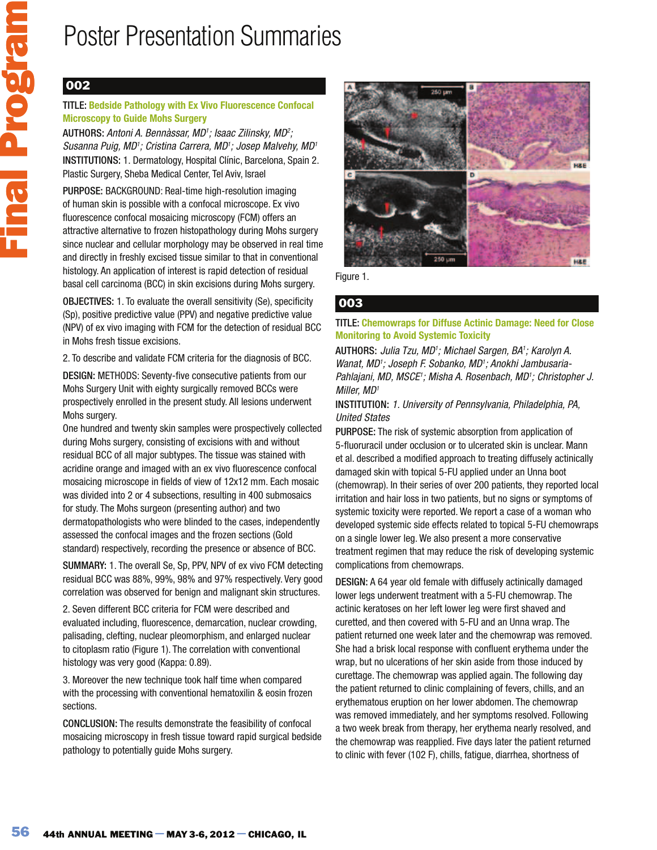## 002

### TITLE: **Bedside Pathology with Ex Vivo Fluorescence Confocal Microscopy to Guide Mohs Surgery**

AUTHORS: Antoni A. Bennàssar, MD<sup>1</sup>; Isaac Zilinsky, MD<sup>2</sup>; Susanna Puig, MD1; Cristina Carrera, MD1; Josep Malvehy, MD1 INSTITUTIONS: 1. Dermatology, Hospital Clínic, Barcelona, Spain 2. Plastic Surgery, Sheba Medical Center, Tel Aviv, Israel

PURPOSE: BACKGROUND: Real-time high-resolution imaging of human skin is possible with a confocal microscope. Ex vivo fluorescence confocal mosaicing microscopy (FCM) offers an attractive alternative to frozen histopathology during Mohs surgery since nuclear and cellular morphology may be observed in real time and directly in freshly excised tissue similar to that in conventional histology. An application of interest is rapid detection of residual basal cell carcinoma (BCC) in skin excisions during Mohs surgery.

OBJECTIVES: 1. To evaluate the overall sensitivity (Se), specificity (Sp), positive predictive value (PPV) and negative predictive value (NPV) of ex vivo imaging with FCM for the detection of residual BCC in Mohs fresh tissue excisions.

2. To describe and validate FCM criteria for the diagnosis of BCC.

DESIGN: METHODS: Seventy-five consecutive patients from our Mohs Surgery Unit with eighty surgically removed BCCs were prospectively enrolled in the present study. All lesions underwent Mohs surgery.

One hundred and twenty skin samples were prospectively collected during Mohs surgery, consisting of excisions with and without residual BCC of all major subtypes. The tissue was stained with acridine orange and imaged with an ex vivo fluorescence confocal mosaicing microscope in fields of view of 12x12 mm. Each mosaic was divided into 2 or 4 subsections, resulting in 400 submosaics for study. The Mohs surgeon (presenting author) and two dermatopathologists who were blinded to the cases, independently assessed the confocal images and the frozen sections (Gold standard) respectively, recording the presence or absence of BCC.

SUMMARY: 1. The overall Se, Sp, PPV, NPV of ex vivo FCM detecting residual BCC was 88%, 99%, 98% and 97% respectively. Very good correlation was observed for benign and malignant skin structures.

2. Seven different BCC criteria for FCM were described and evaluated including, fluorescence, demarcation, nuclear crowding, palisading, clefting, nuclear pleomorphism, and enlarged nuclear to citoplasm ratio (Figure 1). The correlation with conventional histology was very good (Kappa: 0.89).

3. Moreover the new technique took half time when compared with the processing with conventional hematoxilin & eosin frozen sections.

CONCLUSION: The results demonstrate the feasibility of confocal mosaicing microscopy in fresh tissue toward rapid surgical bedside pathology to potentially guide Mohs surgery.



Figure 1.

### 003

### TITLE: **Chemowraps for Diffuse Actinic Damage: Need for Close Monitoring to Avoid Systemic Toxicity**

AUTHORS: Julia Tzu, MD<sup>1</sup>; Michael Sargen, BA<sup>1</sup>; Karolyn A. Wanat, MD'; Joseph F. Sobanko, MD'; Anokhi Jambusaria-Pahlajani, MD, MSCE'; Misha A. Rosenbach, MD'; Christopher J. Miller, MD<sup>1</sup>

### INSTITUTION: 1. University of Pennsylvania, Philadelphia, PA, United States

PURPOSE: The risk of systemic absorption from application of 5-fluoruracil under occlusion or to ulcerated skin is unclear. Mann et al. described a modified approach to treating diffusely actinically damaged skin with topical 5-FU applied under an Unna boot (chemowrap). In their series of over 200 patients, they reported local irritation and hair loss in two patients, but no signs or symptoms of systemic toxicity were reported. We report a case of a woman who developed systemic side effects related to topical 5-FU chemowraps on a single lower leg. We also present a more conservative treatment regimen that may reduce the risk of developing systemic complications from chemowraps.

DESIGN: A 64 year old female with diffusely actinically damaged lower legs underwent treatment with a 5-FU chemowrap. The actinic keratoses on her left lower leg were first shaved and curetted, and then covered with 5-FU and an Unna wrap. The patient returned one week later and the chemowrap was removed. She had a brisk local response with confluent erythema under the wrap, but no ulcerations of her skin aside from those induced by curettage. The chemowrap was applied again. The following day the patient returned to clinic complaining of fevers, chills, and an erythematous eruption on her lower abdomen. The chemowrap was removed immediately, and her symptoms resolved. Following a two week break from therapy, her erythema nearly resolved, and the chemowrap was reapplied. Five days later the patient returned to clinic with fever (102 F), chills, fatigue, diarrhea, shortness of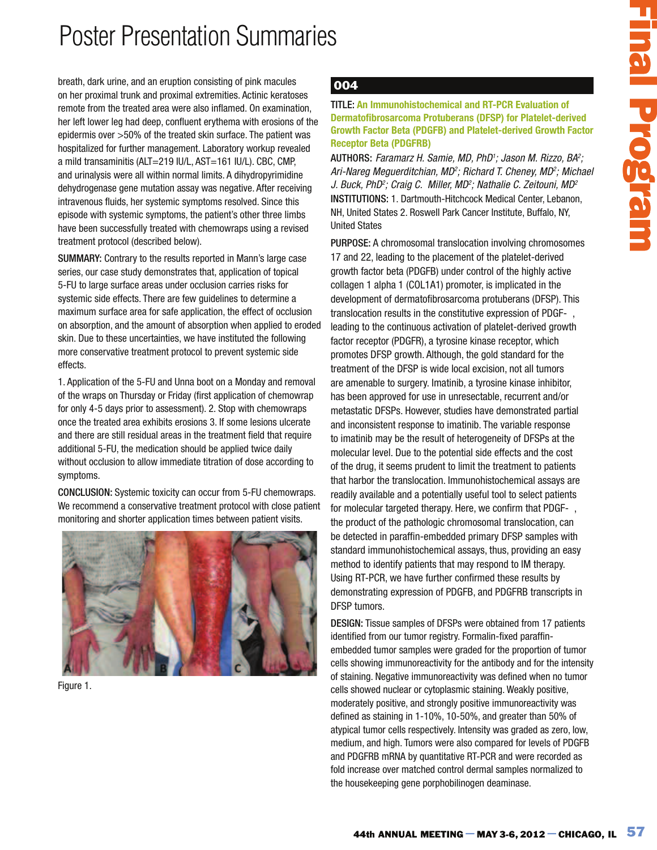breath, dark urine, and an eruption consisting of pink macules on her proximal trunk and proximal extremities. Actinic keratoses remote from the treated area were also inflamed. On examination, her left lower leg had deep, confluent erythema with erosions of the epidermis over >50% of the treated skin surface. The patient was hospitalized for further management. Laboratory workup revealed a mild transaminitis (ALT=219 IU/L, AST=161 IU/L). CBC, CMP, and urinalysis were all within normal limits. A dihydropyrimidine dehydrogenase gene mutation assay was negative. After receiving intravenous fluids, her systemic symptoms resolved. Since this episode with systemic symptoms, the patient's other three limbs have been successfully treated with chemowraps using a revised treatment protocol (described below).

SUMMARY: Contrary to the results reported in Mann's large case series, our case study demonstrates that, application of topical 5-FU to large surface areas under occlusion carries risks for systemic side effects. There are few guidelines to determine a maximum surface area for safe application, the effect of occlusion on absorption, and the amount of absorption when applied to eroded skin. Due to these uncertainties, we have instituted the following more conservative treatment protocol to prevent systemic side effects.

1. Application of the 5-FU and Unna boot on a Monday and removal of the wraps on Thursday or Friday (first application of chemowrap for only 4-5 days prior to assessment). 2. Stop with chemowraps once the treated area exhibits erosions 3. If some lesions ulcerate and there are still residual areas in the treatment field that require additional 5-FU, the medication should be applied twice daily without occlusion to allow immediate titration of dose according to symptoms.

CONCLUSION: Systemic toxicity can occur from 5-FU chemowraps. We recommend a conservative treatment protocol with close patient monitoring and shorter application times between patient visits.



Figure 1.

### 004

TITLE: **An Immunohistochemical and RT-PCR Evaluation of Dermatofibrosarcoma Protuberans (DFSP) for Platelet-derived Growth Factor Beta (PDGFB) and Platelet-derived Growth Factor Receptor Beta (PDGFRB)** 

AUTHORS: Faramarz H. Samie, MD, PhD<sup>1</sup>; Jason M. Rizzo, BA<sup>2</sup>; Ari-Nareg Meguerditchian, MD<sup>2</sup>; Richard T. Cheney, MD<sup>2</sup>; Michael J. Buck, PhD<sup>2</sup>; Craig C. Miller, MD<sup>2</sup>; Nathalie C. Zeitouni, MD<sup>2</sup> INSTITUTIONS: 1. Dartmouth-Hitchcock Medical Center, Lebanon, NH, United States 2. Roswell Park Cancer Institute, Buffalo, NY, United States

An immunohistochemical and RT-PCR Evaluation of<br>
An immunohistochemical and RT-PCR Evaluation of<br>
In Racio Beta (P06FB) and Platele-Lerived Growth Factor<br>
In Racio Beta (P06FB) and Platele-Lerived Growth Factor<br>
In Factor PURPOSE: A chromosomal translocation involving chromosomes 17 and 22, leading to the placement of the platelet-derived growth factor beta (PDGFB) under control of the highly active collagen 1 alpha 1 (COL1A1) promoter, is implicated in the development of dermatofibrosarcoma protuberans (DFSP). This translocation results in the constitutive expression of PDGF-, leading to the continuous activation of platelet-derived growth factor receptor (PDGFR), a tyrosine kinase receptor, which promotes DFSP growth. Although, the gold standard for the treatment of the DFSP is wide local excision, not all tumors are amenable to surgery. Imatinib, a tyrosine kinase inhibitor, has been approved for use in unresectable, recurrent and/or metastatic DFSPs. However, studies have demonstrated partial and inconsistent response to imatinib. The variable response to imatinib may be the result of heterogeneity of DFSPs at the molecular level. Due to the potential side effects and the cost of the drug, it seems prudent to limit the treatment to patients that harbor the translocation. Immunohistochemical assays are readily available and a potentially useful tool to select patients for molecular targeted therapy. Here, we confirm that PDGF-, the product of the pathologic chromosomal translocation, can be detected in paraffin-embedded primary DFSP samples with standard immunohistochemical assays, thus, providing an easy method to identify patients that may respond to IM therapy. Using RT-PCR, we have further confirmed these results by demonstrating expression of PDGFB, and PDGFRB transcripts in DFSP tumors.

DESIGN: Tissue samples of DFSPs were obtained from 17 patients identified from our tumor registry. Formalin-fixed paraffinembedded tumor samples were graded for the proportion of tumor cells showing immunoreactivity for the antibody and for the intensity of staining. Negative immunoreactivity was defined when no tumor cells showed nuclear or cytoplasmic staining. Weakly positive, moderately positive, and strongly positive immunoreactivity was defined as staining in 1-10%, 10-50%, and greater than 50% of atypical tumor cells respectively. Intensity was graded as zero, low, medium, and high. Tumors were also compared for levels of PDGFB and PDGFRB mRNA by quantitative RT-PCR and were recorded as fold increase over matched control dermal samples normalized to the housekeeping gene porphobilinogen deaminase.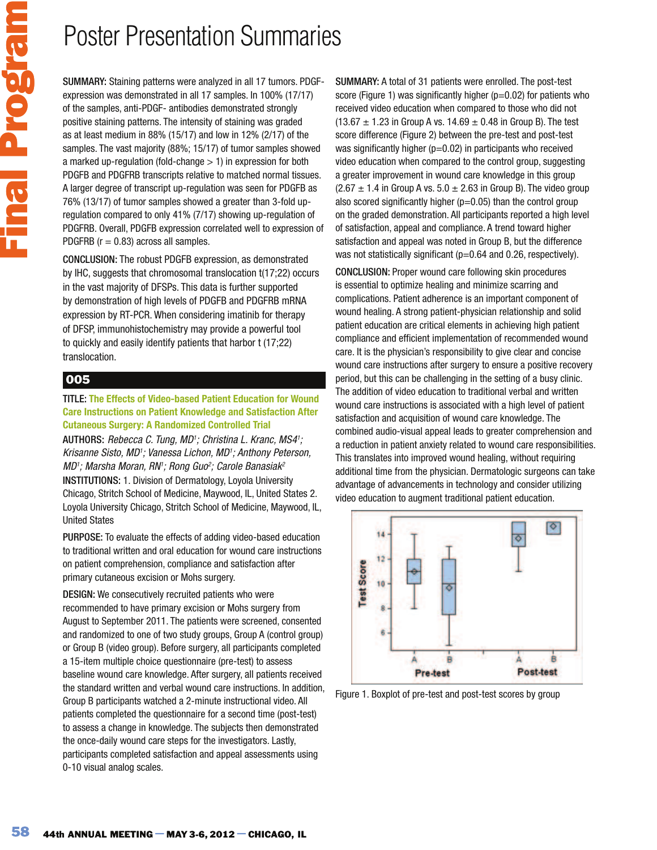SUMMARY: Staining patterns were analyzed in all 17 tumors. PDGFexpression was demonstrated in all 17 samples. In 100% (17/17) of the samples, anti-PDGF- antibodies demonstrated strongly positive staining patterns. The intensity of staining was graded as at least medium in 88% (15/17) and low in 12% (2/17) of the samples. The vast majority (88%; 15/17) of tumor samples showed a marked up-regulation (fold-change > 1) in expression for both PDGFB and PDGFRB transcripts relative to matched normal tissues. A larger degree of transcript up-regulation was seen for PDGFB as 76% (13/17) of tumor samples showed a greater than 3-fold upregulation compared to only 41% (7/17) showing up-regulation of PDGFRB. Overall, PDGFB expression correlated well to expression of PDGFRB ( $r = 0.83$ ) across all samples.

CONCLUSION: The robust PDGFB expression, as demonstrated by IHC, suggests that chromosomal translocation t(17;22) occurs in the vast majority of DFSPs. This data is further supported by demonstration of high levels of PDGFB and PDGFRB mRNA expression by RT-PCR. When considering imatinib for therapy of DFSP, immunohistochemistry may provide a powerful tool to quickly and easily identify patients that harbor t (17;22) translocation.

### 005

#### TITLE: **The Effects of Video-based Patient Education for Wound Care Instructions on Patient Knowledge and Satisfaction After Cutaneous Surgery: A Randomized Controlled Trial**

AUTHORS: Rebecca C. Tung, MD<sup>1</sup>; Christina L. Kranc, MS4<sup>1</sup>; Krisanne Sisto, MD<sup>1</sup>; Vanessa Lichon, MD<sup>1</sup>; Anthony Peterson, MD'; Marsha Moran, RN'; Rong Guo<sup>2</sup>; Carole Banasiak<sup>2</sup> INSTITUTIONS: 1. Division of Dermatology, Loyola University Chicago, Stritch School of Medicine, Maywood, IL, United States 2. Loyola University Chicago, Stritch School of Medicine, Maywood, IL, United States

PURPOSE: To evaluate the effects of adding video-based education to traditional written and oral education for wound care instructions on patient comprehension, compliance and satisfaction after primary cutaneous excision or Mohs surgery.

DESIGN: We consecutively recruited patients who were recommended to have primary excision or Mohs surgery from August to September 2011. The patients were screened, consented and randomized to one of two study groups, Group A (control group) or Group B (video group). Before surgery, all participants completed a 15-item multiple choice questionnaire (pre-test) to assess baseline wound care knowledge. After surgery, all patients received the standard written and verbal wound care instructions. In addition, Group B participants watched a 2-minute instructional video. All patients completed the questionnaire for a second time (post-test) to assess a change in knowledge. The subjects then demonstrated the once-daily wound care steps for the investigators. Lastly, participants completed satisfaction and appeal assessments using 0-10 visual analog scales.

SUMMARY: A total of 31 patients were enrolled. The post-test score (Figure 1) was significantly higher ( $p=0.02$ ) for patients who received video education when compared to those who did not  $(13.67 \pm 1.23$  in Group A vs.  $14.69 \pm 0.48$  in Group B). The test score difference (Figure 2) between the pre-test and post-test was significantly higher ( $p=0.02$ ) in participants who received video education when compared to the control group, suggesting a greater improvement in wound care knowledge in this group  $(2.67 \pm 1.4$  in Group A vs. 5.0  $\pm$  2.63 in Group B). The video group also scored significantly higher  $(p=0.05)$  than the control group on the graded demonstration. All participants reported a high level of satisfaction, appeal and compliance. A trend toward higher satisfaction and appeal was noted in Group B, but the difference was not statistically significant (p=0.64 and 0.26, respectively).

CONCLUSION: Proper wound care following skin procedures is essential to optimize healing and minimize scarring and complications. Patient adherence is an important component of wound healing. A strong patient-physician relationship and solid patient education are critical elements in achieving high patient compliance and efficient implementation of recommended wound care. It is the physician's responsibility to give clear and concise wound care instructions after surgery to ensure a positive recovery period, but this can be challenging in the setting of a busy clinic. The addition of video education to traditional verbal and written wound care instructions is associated with a high level of patient satisfaction and acquisition of wound care knowledge. The combined audio-visual appeal leads to greater comprehension and a reduction in patient anxiety related to wound care responsibilities. This translates into improved wound healing, without requiring additional time from the physician. Dermatologic surgeons can take advantage of advancements in technology and consider utilizing video education to augment traditional patient education.



Figure 1. Boxplot of pre-test and post-test scores by group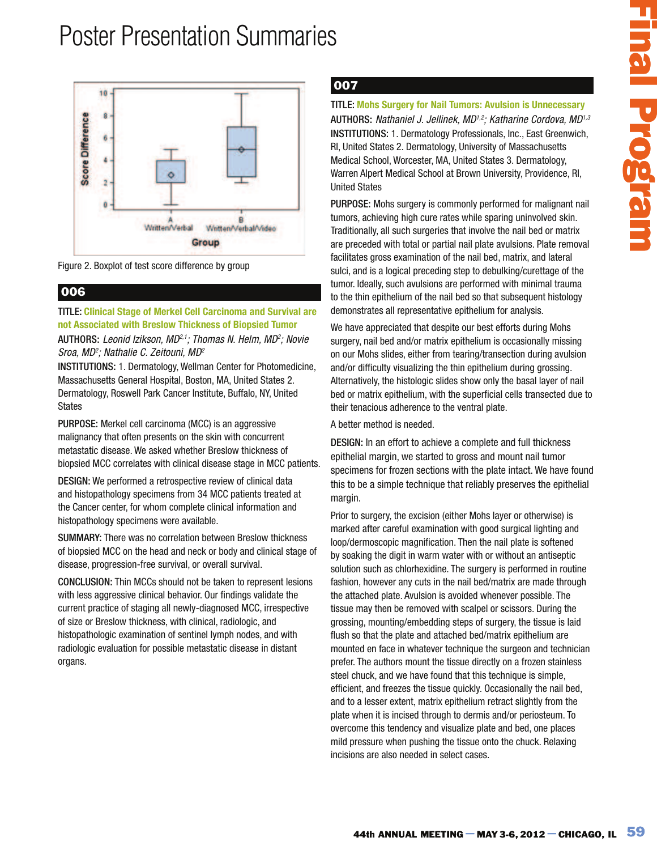

Figure 2. Boxplot of test score difference by group

### 006

### TITLE: **Clinical Stage of Merkel Cell Carcinoma and Survival are not Associated with Breslow Thickness of Biopsied Tumor**

#### AUTHORS: Leonid Izikson, MD<sup>2,1</sup>; Thomas N. Helm, MD<sup>2</sup>; Novie Sroa, MD<sup>2</sup>; Nathalie C. Zeitouni, MD<sup>2</sup>

INSTITUTIONS: 1. Dermatology, Wellman Center for Photomedicine, Massachusetts General Hospital, Boston, MA, United States 2. Dermatology, Roswell Park Cancer Institute, Buffalo, NY, United States

PURPOSE: Merkel cell carcinoma (MCC) is an aggressive malignancy that often presents on the skin with concurrent metastatic disease. We asked whether Breslow thickness of biopsied MCC correlates with clinical disease stage in MCC patients.

DESIGN: We performed a retrospective review of clinical data and histopathology specimens from 34 MCC patients treated at the Cancer center, for whom complete clinical information and histopathology specimens were available.

SUMMARY: There was no correlation between Breslow thickness of biopsied MCC on the head and neck or body and clinical stage of disease, progression-free survival, or overall survival.

CONCLUSION: Thin MCCs should not be taken to represent lesions with less aggressive clinical behavior. Our findings validate the current practice of staging all newly-diagnosed MCC, irrespective of size or Breslow thickness, with clinical, radiologic, and histopathologic examination of sentinel lymph nodes, and with radiologic evaluation for possible metastatic disease in distant organs.

## 007

### TITLE: **Mohs Surgery for Nail Tumors: Avulsion is Unnecessary** AUTHORS: Nathaniel J. Jellinek, MD<sup>1,2</sup>; Katharine Cordova, MD<sup>1,3</sup> INSTITUTIONS: 1. Dermatology Professionals, Inc., East Greenwich, RI, United States 2. Dermatology, University of Massachusetts Medical School, Worcester, MA, United States 3. Dermatology, Warren Alpert Medical School at Brown University, Providence, RI, United States

PURPOSE: Mohs surgery is commonly performed for malignant nail tumors, achieving high cure rates while sparing uninvolved skin. Traditionally, all such surgeries that involve the nail bed or matrix are preceded with total or partial nail plate avulsions. Plate removal facilitates gross examination of the nail bed, matrix, and lateral sulci, and is a logical preceding step to debulking/curettage of the tumor. Ideally, such avulsions are performed with minimal trauma to the thin epithelium of the nail bed so that subsequent histology demonstrates all representative epithelium for analysis.

We have appreciated that despite our best efforts during Mohs surgery, nail bed and/or matrix epithelium is occasionally missing on our Mohs slides, either from tearing/transection during avulsion and/or difficulty visualizing the thin epithelium during grossing. Alternatively, the histologic slides show only the basal layer of nail bed or matrix epithelium, with the superficial cells transected due to their tenacious adherence to the ventral plate.

### A better method is needed.

DESIGN: In an effort to achieve a complete and full thickness epithelial margin, we started to gross and mount nail tumor specimens for frozen sections with the plate intact. We have found this to be a simple technique that reliably preserves the epithelial margin.

Melas Surgery for Nail Tumors: Andision is Unnecessary<br>
1968: Motherine J. Jolinesk, MD?: Kehizarine Condoro, IMP<br>
10101005: 1. Commandage Professionsis, the., East Greenwich,<br>
10110045: 1. Commandage Professionsis, the., Prior to surgery, the excision (either Mohs layer or otherwise) is marked after careful examination with good surgical lighting and loop/dermoscopic magnification. Then the nail plate is softened by soaking the digit in warm water with or without an antiseptic solution such as chlorhexidine. The surgery is performed in routine fashion, however any cuts in the nail bed/matrix are made through the attached plate. Avulsion is avoided whenever possible. The tissue may then be removed with scalpel or scissors. During the grossing, mounting/embedding steps of surgery, the tissue is laid flush so that the plate and attached bed/matrix epithelium are mounted en face in whatever technique the surgeon and technician prefer. The authors mount the tissue directly on a frozen stainless steel chuck, and we have found that this technique is simple, efficient, and freezes the tissue quickly. Occasionally the nail bed, and to a lesser extent, matrix epithelium retract slightly from the plate when it is incised through to dermis and/or periosteum. To overcome this tendency and visualize plate and bed, one places mild pressure when pushing the tissue onto the chuck. Relaxing incisions are also needed in select cases.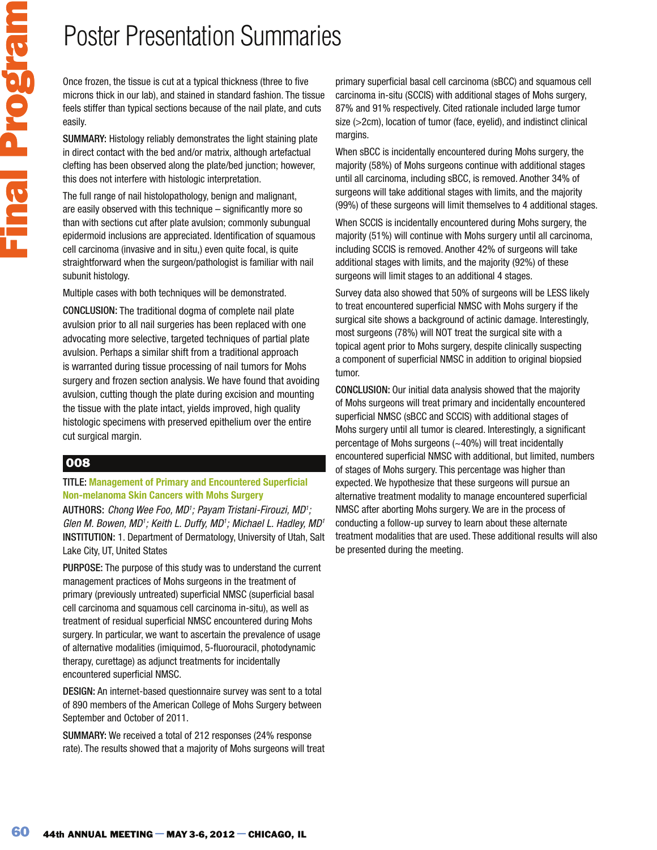Once frozen, the tissue is cut at a typical thickness (three to five microns thick in our lab), and stained in standard fashion. The tissue feels stiffer than typical sections because of the nail plate, and cuts easily.

SUMMARY: Histology reliably demonstrates the light staining plate in direct contact with the bed and/or matrix, although artefactual clefting has been observed along the plate/bed junction; however, this does not interfere with histologic interpretation.

The full range of nail histolopathology, benign and malignant, are easily observed with this technique – significantly more so than with sections cut after plate avulsion; commonly subungual epidermoid inclusions are appreciated. Identification of squamous cell carcinoma (invasive and in situ,) even quite focal, is quite straightforward when the surgeon/pathologist is familiar with nail subunit histology.

Multiple cases with both techniques will be demonstrated.

CONCLUSION: The traditional dogma of complete nail plate avulsion prior to all nail surgeries has been replaced with one advocating more selective, targeted techniques of partial plate avulsion. Perhaps a similar shift from a traditional approach is warranted during tissue processing of nail tumors for Mohs surgery and frozen section analysis. We have found that avoiding avulsion, cutting though the plate during excision and mounting the tissue with the plate intact, yields improved, high quality histologic specimens with preserved epithelium over the entire cut surgical margin.

## 008

Final Program

#### TITLE: **Management of Primary and Encountered Superficial Non-melanoma Skin Cancers with Mohs Surgery**

AUTHORS: Chong Wee Foo, MD<sup>1</sup>; Payam Tristani-Firouzi, MD<sup>1</sup>; Glen M. Bowen, MD<sup>1</sup>; Keith L. Duffy, MD<sup>1</sup>; Michael L. Hadley, MD<sup>1</sup> INSTITUTION: 1. Department of Dermatology, University of Utah, Salt Lake City, UT, United States

PURPOSE: The purpose of this study was to understand the current management practices of Mohs surgeons in the treatment of primary (previously untreated) superficial NMSC (superficial basal cell carcinoma and squamous cell carcinoma in-situ), as well as treatment of residual superficial NMSC encountered during Mohs surgery. In particular, we want to ascertain the prevalence of usage of alternative modalities (imiquimod, 5-fluorouracil, photodynamic therapy, curettage) as adjunct treatments for incidentally encountered superficial NMSC.

DESIGN: An internet-based questionnaire survey was sent to a total of 890 members of the American College of Mohs Surgery between September and October of 2011.

SUMMARY: We received a total of 212 responses (24% response rate). The results showed that a majority of Mohs surgeons will treat primary superficial basal cell carcinoma (sBCC) and squamous cell carcinoma in-situ (SCCIS) with additional stages of Mohs surgery, 87% and 91% respectively. Cited rationale included large tumor size (>2cm), location of tumor (face, eyelid), and indistinct clinical margins.

When sBCC is incidentally encountered during Mohs surgery, the majority (58%) of Mohs surgeons continue with additional stages until all carcinoma, including sBCC, is removed. Another 34% of surgeons will take additional stages with limits, and the majority (99%) of these surgeons will limit themselves to 4 additional stages.

When SCCIS is incidentally encountered during Mohs surgery, the majority (51%) will continue with Mohs surgery until all carcinoma, including SCCIS is removed. Another 42% of surgeons will take additional stages with limits, and the majority (92%) of these surgeons will limit stages to an additional 4 stages.

Survey data also showed that 50% of surgeons will be LESS likely to treat encountered superficial NMSC with Mohs surgery if the surgical site shows a background of actinic damage. Interestingly, most surgeons (78%) will NOT treat the surgical site with a topical agent prior to Mohs surgery, despite clinically suspecting a component of superficial NMSC in addition to original biopsied tumor.

CONCLUSION: Our initial data analysis showed that the majority of Mohs surgeons will treat primary and incidentally encountered superficial NMSC (sBCC and SCCIS) with additional stages of Mohs surgery until all tumor is cleared. Interestingly, a significant percentage of Mohs surgeons (~40%) will treat incidentally encountered superficial NMSC with additional, but limited, numbers of stages of Mohs surgery. This percentage was higher than expected. We hypothesize that these surgeons will pursue an alternative treatment modality to manage encountered superficial NMSC after aborting Mohs surgery. We are in the process of conducting a follow-up survey to learn about these alternate treatment modalities that are used. These additional results will also be presented during the meeting.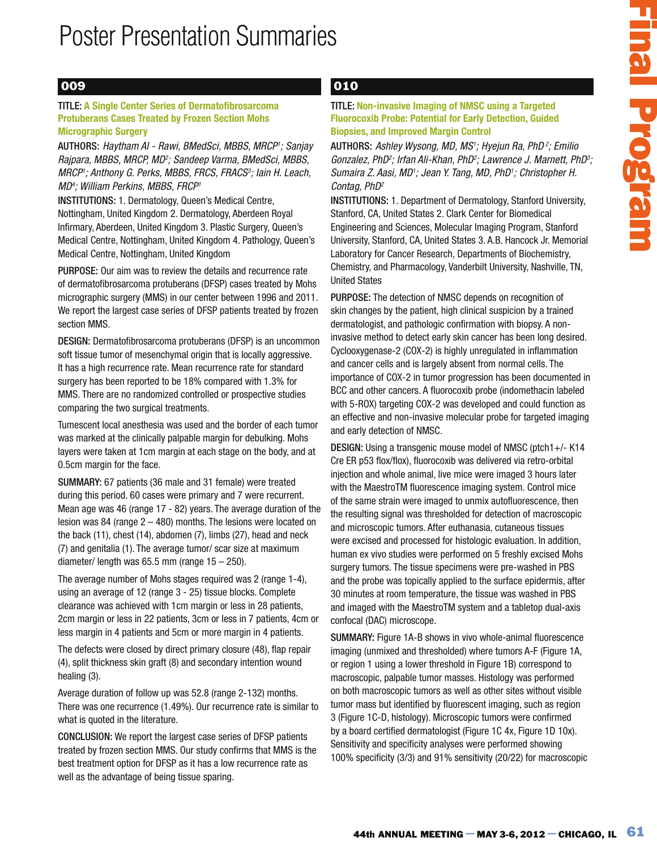### 009

#### TITLE: **A Single Center Series of Dermatofibrosarcoma Protuberans Cases Treated by Frozen Section Mohs Micrographic Surgery**

AUTHORS: Haytham AI - Rawi, BMedSci, MBBS, MRCP<sup>1</sup>; Sanjay Rajpara, MBBS, MRCP, MD²; Sandeep Varma, BMedSci, MBBS, MRCP1; Anthony G. Perks, MBBS, FRCS, FRACS3; Iain H. Leach, MD<sup>4</sup> ; William Perkins, MBBS, FRCP<sup>1</sup>

INSTITUTIONS: 1. Dermatology, Queen's Medical Centre, Nottingham, United Kingdom 2. Dermatology, Aberdeen Royal Infirmary, Aberdeen, United Kingdom 3. Plastic Surgery, Queen's Medical Centre, Nottingham, United Kingdom 4. Pathology, Queen's Medical Centre, Nottingham, United Kingdom

PURPOSE: Our aim was to review the details and recurrence rate of dermatofibrosarcoma protuberans (DFSP) cases treated by Mohs micrographic surgery (MMS) in our center between 1996 and 2011. We report the largest case series of DFSP patients treated by frozen section MMS.

DESIGN: Dermatofibrosarcoma protuberans (DFSP) is an uncommon soft tissue tumor of mesenchymal origin that is locally aggressive. It has a high recurrence rate. Mean recurrence rate for standard surgery has been reported to be 18% compared with 1.3% for MMS. There are no randomized controlled or prospective studies comparing the two surgical treatments.

Tumescent local anesthesia was used and the border of each tumor was marked at the clinically palpable margin for debulking. Mohs layers were taken at 1cm margin at each stage on the body, and at 0.5cm margin for the face.

SUMMARY: 67 patients (36 male and 31 female) were treated during this period. 60 cases were primary and 7 were recurrent. Mean age was 46 (range 17 - 82) years. The average duration of the lesion was 84 (range 2 – 480) months. The lesions were located on the back (11), chest (14), abdomen (7), limbs (27), head and neck (7) and genitalia (1). The average tumor/ scar size at maximum diameter/ length was 65.5 mm (range  $15 - 250$ ).

The average number of Mohs stages required was 2 (range 1-4), using an average of 12 (range 3 - 25) tissue blocks. Complete clearance was achieved with 1cm margin or less in 28 patients, 2cm margin or less in 22 patients, 3cm or less in 7 patients, 4cm or less margin in 4 patients and 5cm or more margin in 4 patients.

The defects were closed by direct primary closure (48), flap repair (4), split thickness skin graft (8) and secondary intention wound healing (3).

Average duration of follow up was 52.8 (range 2-132) months. There was one recurrence (1.49%). Our recurrence rate is similar to what is quoted in the literature.

CONCLUSION: We report the largest case series of DFSP patients treated by frozen section MMS. Our study confirms that MMS is the best treatment option for DFSP as it has a low recurrence rate as well as the advantage of being tissue sparing.

## 010

TITLE: **Non-invasive Imaging of NMSC using a Targeted Fluorocoxib Probe: Potential for Early Detection, Guided Biopsies, and Improved Margin Control** 

AUTHORS: Ashley Wysong, MD, MS<sup>1</sup>; Hyejun Ra, PhD<sup>2</sup>; Emilio Gonzalez, PhD²; Irfan Ali-Khan, PhD²; Lawrence J. Marnett, PhD<sup>3</sup>; Sumaira Z. Aasi, MD<sup>1</sup>; Jean Y. Tang, MD, PhD<sup>1</sup>; Christopher H. Contag, PhD<sup>2</sup>

INSTITUTIONS: 1. Department of Dermatology, Stanford University, Stanford, CA, United States 2. Clark Center for Biomedical Engineering and Sciences, Molecular Imaging Program, Stanford University, Stanford, CA, United States 3. A.B. Hancock Jr. Memorial Laboratory for Cancer Research, Departments of Biochemistry, Chemistry, and Pharmacology, Vanderbilt University, Nashville, TN, United States

PURPOSE: The detection of NMSC depends on recognition of skin changes by the patient, high clinical suspicion by a trained dermatologist, and pathologic confirmation with biopsy. A noninvasive method to detect early skin cancer has been long desired. Cyclooxygenase-2 (COX-2) is highly unregulated in inflammation and cancer cells and is largely absent from normal cells. The importance of COX-2 in tumor progression has been documented in BCC and other cancers. A fluorocoxib probe (indomethacin labeled with 5-ROX) targeting COX-2 was developed and could function as an effective and non-invasive molecular probe for targeted imaging and early detection of NMSC.

Hendrich threation of MMSC using a Targeted<br>
is and improved Margin Control<br>
is and improved Margin Control<br>
is and improved Margin Control<br>
is and improved Margin Control<br>
is and the Power May 10 (85) Hope  $mB$ ,  $BD/2$  E DESIGN: Using a transgenic mouse model of NMSC (ptch1+/- K14 Cre ER p53 flox/flox), fluorocoxib was delivered via retro-orbital injection and whole animal, live mice were imaged 3 hours later with the MaestroTM fluorescence imaging system. Control mice of the same strain were imaged to unmix autofluorescence, then the resulting signal was thresholded for detection of macroscopic and microscopic tumors. After euthanasia, cutaneous tissues were excised and processed for histologic evaluation. In addition, human ex vivo studies were performed on 5 freshly excised Mohs surgery tumors. The tissue specimens were pre-washed in PBS and the probe was topically applied to the surface epidermis, after 30 minutes at room temperature, the tissue was washed in PBS and imaged with the MaestroTM system and a tabletop dual-axis confocal (DAC) microscope.

SUMMARY: Figure 1A-B shows in vivo whole-animal fluorescence imaging (unmixed and thresholded) where tumors A-F (Figure 1A, or region 1 using a lower threshold in Figure 1B) correspond to macroscopic, palpable tumor masses. Histology was performed on both macroscopic tumors as well as other sites without visible tumor mass but identified by fluorescent imaging, such as region 3 (Figure 1C-D, histology). Microscopic tumors were confirmed by a board certified dermatologist (Figure 1C 4x, Figure 1D 10x). Sensitivity and specificity analyses were performed showing 100% specificity (3/3) and 91% sensitivity (20/22) for macroscopic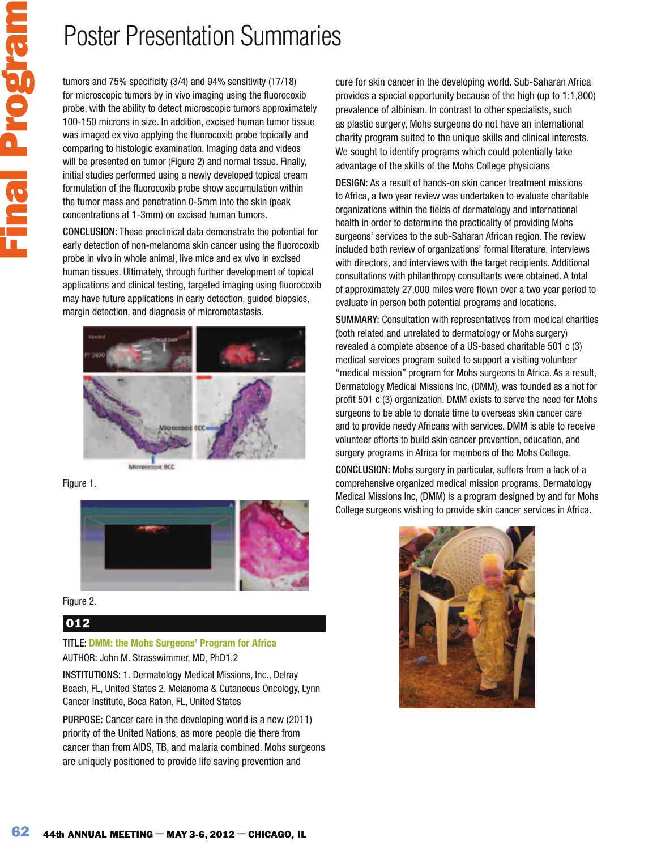tumors and 75% specificity (3/4) and 94% sensitivity (17/18) for microscopic tumors by in vivo imaging using the fluorocoxib probe, with the ability to detect microscopic tumors approximately 100-150 microns in size. In addition, excised human tumor tissue was imaged ex vivo applying the fluorocoxib probe topically and comparing to histologic examination. Imaging data and videos will be presented on tumor (Figure 2) and normal tissue. Finally, initial studies performed using a newly developed topical cream formulation of the fluorocoxib probe show accumulation within the tumor mass and penetration 0-5mm into the skin (peak concentrations at 1-3mm) on excised human tumors.

CONCLUSION: These preclinical data demonstrate the potential for early detection of non-melanoma skin cancer using the fluorocoxib probe in vivo in whole animal, live mice and ex vivo in excised human tissues. Ultimately, through further development of topical applications and clinical testing, targeted imaging using fluorocoxib may have future applications in early detection, guided biopsies, margin detection, and diagnosis of micrometastasis.







Figure 2.

## 012

### TITLE: **DMM: the Mohs Surgeons' Program for Africa**

AUTHOR: John M. Strasswimmer, MD, PhD1,2

INSTITUTIONS: 1. Dermatology Medical Missions, Inc., Delray Beach, FL, United States 2. Melanoma & Cutaneous Oncology, Lynn Cancer Institute, Boca Raton, FL, United States

PURPOSE: Cancer care in the developing world is a new (2011) priority of the United Nations, as more people die there from cancer than from AIDS, TB, and malaria combined. Mohs surgeons are uniquely positioned to provide life saving prevention and

cure for skin cancer in the developing world. Sub-Saharan Africa provides a special opportunity because of the high (up to 1:1,800) prevalence of albinism. In contrast to other specialists, such as plastic surgery, Mohs surgeons do not have an international charity program suited to the unique skills and clinical interests. We sought to identify programs which could potentially take advantage of the skills of the Mohs College physicians

DESIGN: As a result of hands-on skin cancer treatment missions to Africa, a two year review was undertaken to evaluate charitable organizations within the fields of dermatology and international health in order to determine the practicality of providing Mohs surgeons' services to the sub-Saharan African region. The review included both review of organizations' formal literature, interviews with directors, and interviews with the target recipients. Additional consultations with philanthropy consultants were obtained. A total of approximately 27,000 miles were flown over a two year period to evaluate in person both potential programs and locations.

SUMMARY: Consultation with representatives from medical charities (both related and unrelated to dermatology or Mohs surgery) revealed a complete absence of a US-based charitable 501 c (3) medical services program suited to support a visiting volunteer "medical mission" program for Mohs surgeons to Africa. As a result, Dermatology Medical Missions Inc, (DMM), was founded as a not for profit 501 c (3) organization. DMM exists to serve the need for Mohs surgeons to be able to donate time to overseas skin cancer care and to provide needy Africans with services. DMM is able to receive volunteer efforts to build skin cancer prevention, education, and surgery programs in Africa for members of the Mohs College.

CONCLUSION: Mohs surgery in particular, suffers from a lack of a comprehensive organized medical mission programs. Dermatology Medical Missions Inc, (DMM) is a program designed by and for Mohs College surgeons wishing to provide skin cancer services in Africa.

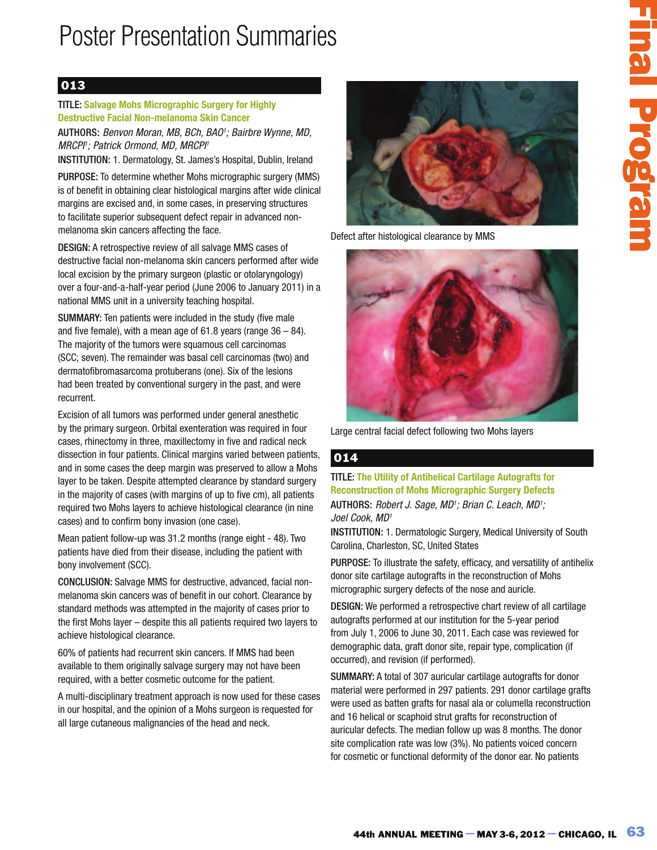## 013

TITLE: **Salvage Mohs Micrographic Surgery for Highly Destructive Facial Non-melanoma Skin Cancer** AUTHORS: Benvon Moran, MB, BCh, BAO<sup>1</sup>; Bairbre Wynne, MD, MRCPI'; Patrick Ormond, MD, MRCPI'

INSTITUTION: 1. Dermatology, St. James's Hospital, Dublin, Ireland

PURPOSE: To determine whether Mohs micrographic surgery (MMS) is of benefit in obtaining clear histological margins after wide clinical margins are excised and, in some cases, in preserving structures to facilitate superior subsequent defect repair in advanced nonmelanoma skin cancers affecting the face.

DESIGN: A retrospective review of all salvage MMS cases of destructive facial non-melanoma skin cancers performed after wide local excision by the primary surgeon (plastic or otolaryngology) over a four-and-a-half-year period (June 2006 to January 2011) in a national MMS unit in a university teaching hospital.

SUMMARY: Ten patients were included in the study (five male and five female), with a mean age of  $61.8$  years (range  $36 - 84$ ). The majority of the tumors were squamous cell carcinomas (SCC; seven). The remainder was basal cell carcinomas (two) and dermatofibromasarcoma protuberans (one). Six of the lesions had been treated by conventional surgery in the past, and were recurrent.

Excision of all tumors was performed under general anesthetic by the primary surgeon. Orbital exenteration was required in four cases, rhinectomy in three, maxillectomy in five and radical neck dissection in four patients. Clinical margins varied between patients, and in some cases the deep margin was preserved to allow a Mohs layer to be taken. Despite attempted clearance by standard surgery in the majority of cases (with margins of up to five cm), all patients required two Mohs layers to achieve histological clearance (in nine cases) and to confirm bony invasion (one case).

Mean patient follow-up was 31.2 months (range eight - 48). Two patients have died from their disease, including the patient with bony involvement (SCC).

CONCLUSION: Salvage MMS for destructive, advanced, facial nonmelanoma skin cancers was of benefit in our cohort. Clearance by standard methods was attempted in the majority of cases prior to the first Mohs layer – despite this all patients required two layers to achieve histological clearance.

60% of patients had recurrent skin cancers. If MMS had been available to them originally salvage surgery may not have been required, with a better cosmetic outcome for the patient.

A multi-disciplinary treatment approach is now used for these cases in our hospital, and the opinion of a Mohs surgeon is requested for all large cutaneous malignancies of the head and neck.



Defect after histological clearance by MMS



Large central facial defect following two Mohs layers

## 014

TITLE: **The Utility of Antihelical Cartilage Autografts for Reconstruction of Mohs Micrographic Surgery Defects**

AUTHORS: Robert J. Sage, MD<sup>1</sup>; Brian C. Leach, MD<sup>1</sup>; Joel Cook, MD<sup>1</sup>

INSTITUTION: 1. Dermatologic Surgery, Medical University of South Carolina, Charleston, SC, United States

PURPOSE: To illustrate the safety, efficacy, and versatility of antihelix donor site cartilage autografts in the reconstruction of Mohs micrographic surgery defects of the nose and auricle.

DESIGN: We performed a retrospective chart review of all cartilage autografts performed at our institution for the 5-year period from July 1, 2006 to June 30, 2011. Each case was reviewed for demographic data, graft donor site, repair type, complication (if occurred), and revision (if performed).

SUMMARY: A total of 307 auricular cartilage autografts for donor material were performed in 297 patients. 291 donor cartilage grafts were used as batten grafts for nasal ala or columella reconstruction and 16 helical or scaphoid strut grafts for reconstruction of auricular defects. The median follow up was 8 months. The donor site complication rate was low (3%). No patients voiced concern for cosmetic or functional deformity of the donor ear. No patients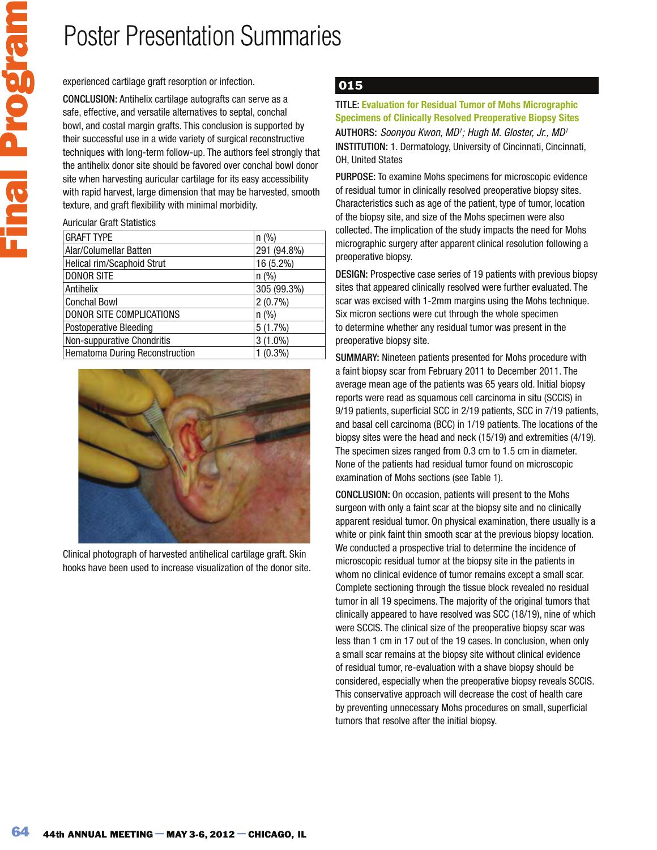experienced cartilage graft resorption or infection.

CONCLUSION: Antihelix cartilage autografts can serve as a safe, effective, and versatile alternatives to septal, conchal bowl, and costal margin grafts. This conclusion is supported by their successful use in a wide variety of surgical reconstructive techniques with long-term follow-up. The authors feel strongly that the antihelix donor site should be favored over conchal bowl donor site when harvesting auricular cartilage for its easy accessibility with rapid harvest, large dimension that may be harvested, smooth texture, and graft flexibility with minimal morbidity.

Auricular Graft Statistics

| <b>GRAFT TYPE</b>              | n (%)       |  |
|--------------------------------|-------------|--|
| Alar/Columellar Batten         | 291 (94.8%) |  |
| Helical rim/Scaphoid Strut     | 16 (5.2%)   |  |
| <b>DONOR SITE</b>              | n (%)       |  |
| Antihelix                      | 305 (99.3%) |  |
| <b>Conchal Bowl</b>            | $2(0.7\%)$  |  |
| DONOR SITE COMPLICATIONS       | n (%)       |  |
| <b>Postoperative Bleeding</b>  | $5(1.7\%)$  |  |
| Non-suppurative Chondritis     | $3(1.0\%)$  |  |
| Hematoma During Reconstruction | (0.3%)      |  |
|                                |             |  |



Clinical photograph of harvested antihelical cartilage graft. Skin hooks have been used to increase visualization of the donor site.

## 015

### TITLE: **Evaluation for Residual Tumor of Mohs Micrographic Specimens of Clinically Resolved Preoperative Biopsy Sites**

AUTHORS: Soonyou Kwon, MD<sup>1</sup>; Hugh M. Gloster, Jr., MD<sup>1</sup> INSTITUTION: 1. Dermatology, University of Cincinnati, Cincinnati, OH, United States

PURPOSE: To examine Mohs specimens for microscopic evidence of residual tumor in clinically resolved preoperative biopsy sites. Characteristics such as age of the patient, type of tumor, location of the biopsy site, and size of the Mohs specimen were also collected. The implication of the study impacts the need for Mohs micrographic surgery after apparent clinical resolution following a preoperative biopsy.

DESIGN: Prospective case series of 19 patients with previous biopsy sites that appeared clinically resolved were further evaluated. The scar was excised with 1-2mm margins using the Mohs technique. Six micron sections were cut through the whole specimen to determine whether any residual tumor was present in the preoperative biopsy site.

SUMMARY: Nineteen patients presented for Mohs procedure with a faint biopsy scar from February 2011 to December 2011. The average mean age of the patients was 65 years old. Initial biopsy reports were read as squamous cell carcinoma in situ (SCCIS) in 9/19 patients, superficial SCC in 2/19 patients, SCC in 7/19 patients, and basal cell carcinoma (BCC) in 1/19 patients. The locations of the biopsy sites were the head and neck (15/19) and extremities (4/19). The specimen sizes ranged from 0.3 cm to 1.5 cm in diameter. None of the patients had residual tumor found on microscopic examination of Mohs sections (see Table 1).

CONCLUSION: On occasion, patients will present to the Mohs surgeon with only a faint scar at the biopsy site and no clinically apparent residual tumor. On physical examination, there usually is a white or pink faint thin smooth scar at the previous biopsy location. We conducted a prospective trial to determine the incidence of microscopic residual tumor at the biopsy site in the patients in whom no clinical evidence of tumor remains except a small scar. Complete sectioning through the tissue block revealed no residual tumor in all 19 specimens. The majority of the original tumors that clinically appeared to have resolved was SCC (18/19), nine of which were SCCIS. The clinical size of the preoperative biopsy scar was less than 1 cm in 17 out of the 19 cases. In conclusion, when only a small scar remains at the biopsy site without clinical evidence of residual tumor, re-evaluation with a shave biopsy should be considered, especially when the preoperative biopsy reveals SCCIS. This conservative approach will decrease the cost of health care by preventing unnecessary Mohs procedures on small, superficial tumors that resolve after the initial biopsy.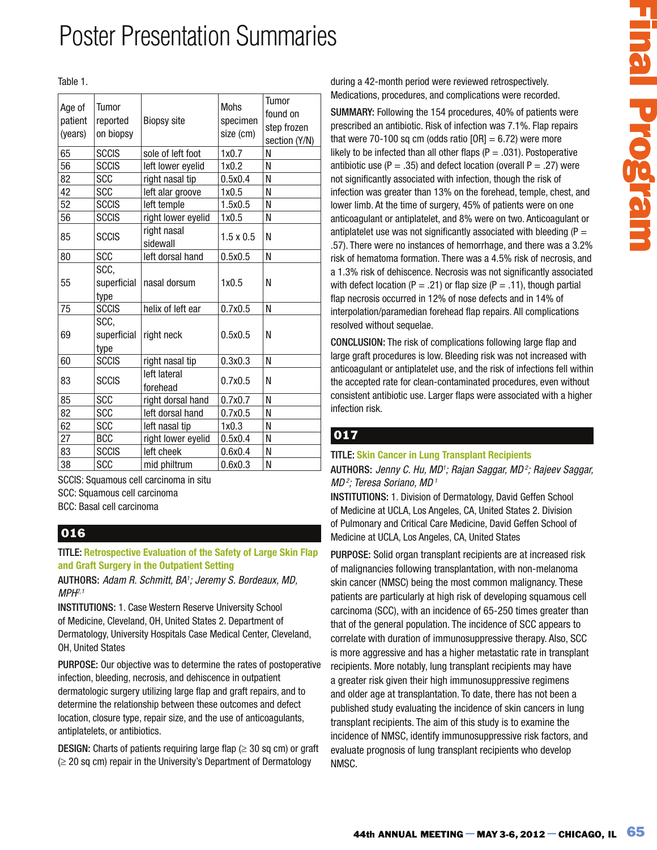#### Table 1.

| Age of<br>patient<br>(years) | Tumor<br>reported<br>on biopsy | <b>Biopsy site</b>       | <b>Mohs</b><br>specimen<br>size (cm) | Tumor<br>found on<br>step frozen<br>section (Y/N) |
|------------------------------|--------------------------------|--------------------------|--------------------------------------|---------------------------------------------------|
| 65                           | <b>SCCIS</b>                   | sole of left foot        | 1x0.7                                | N                                                 |
| 56                           | <b>SCCIS</b>                   | left lower eyelid        | 1x0.2                                | N                                                 |
| 82                           | <b>SCC</b>                     | right nasal tip          | 0.5x0.4                              | N                                                 |
| 42                           | SCC                            | left alar groove         | 1x0.5                                | N                                                 |
| 52                           | <b>SCCIS</b>                   | left temple              | 1.5x0.5                              | N                                                 |
| 56                           | <b>SCCIS</b>                   | right lower eyelid       | 1x0.5                                | N                                                 |
| 85                           | <b>SCCIS</b>                   | right nasal<br>sidewall  | $1.5 \times 0.5$                     | N                                                 |
| 80                           | <b>SCC</b>                     | left dorsal hand         | 0.5x0.5                              | N                                                 |
| 55                           | SCC,<br>superficial<br>type    | nasal dorsum             | 1x0.5                                | N                                                 |
| 75                           | <b>SCCIS</b>                   | helix of left ear        | 0.7x0.5                              | N                                                 |
| 69                           | SCC,<br>superficial<br>type    | right neck               | 0.5x0.5                              | N                                                 |
| 60                           | <b>SCCIS</b>                   | right nasal tip          | 0.3x0.3                              | N                                                 |
| 83                           | <b>SCCIS</b>                   | left lateral<br>forehead | 0.7x0.5                              | N                                                 |
| 85                           | <b>SCC</b>                     | right dorsal hand        | 0.7x0.7                              | N                                                 |
| 82                           | <b>SCC</b>                     | left dorsal hand         | 0.7x0.5                              | N                                                 |
| 62                           | <b>SCC</b>                     | left nasal tip           | 1x0.3                                | N                                                 |
| 27                           | <b>BCC</b>                     | right lower eyelid       | 0.5x0.4                              | N                                                 |
| 83                           | <b>SCCIS</b>                   | left cheek               | 0.6x0.4                              | N                                                 |
| 38                           | <b>SCC</b>                     | mid philtrum             | 0.6x0.3                              | N                                                 |

SCCIS: Squamous cell carcinoma in situ SCC: Squamous cell carcinoma

BCC: Basal cell carcinoma

### 016

TITLE: **Retrospective Evaluation of the Safety of Large Skin Flap and Graft Surgery in the Outpatient Setting**

AUTHORS: Adam R. Schmitt, BA<sup>1</sup>; Jeremy S. Bordeaux, MD,  $MPH<sup>2,1</sup>$ 

INSTITUTIONS: 1. Case Western Reserve University School of Medicine, Cleveland, OH, United States 2. Department of Dermatology, University Hospitals Case Medical Center, Cleveland, OH, United States

PURPOSE: Our objective was to determine the rates of postoperative infection, bleeding, necrosis, and dehiscence in outpatient dermatologic surgery utilizing large flap and graft repairs, and to determine the relationship between these outcomes and defect location, closure type, repair size, and the use of anticoagulants, antiplatelets, or antibiotics.

**DESIGN:** Charts of patients requiring large flap ( $\geq$  30 sq cm) or graft  $\ge$  20 sq cm) repair in the University's Department of Dermatology

during a 42-month period were reviewed retrospectively. Medications, procedures, and complications were recorded.

442-month period were reviewed retrospectively.<br>
atdos, procedures, and complications were recorded.<br>
4AR: Allows, procedures, and complications were recorded.<br>
AMR: Followsing the 154 procedures 4.0% of problems there are SUMMARY: Following the 154 procedures, 40% of patients were prescribed an antibiotic. Risk of infection was 7.1%. Flap repairs that were 70-100 sq cm (odds ratio  $[OR] = 6.72$ ) were more likely to be infected than all other flaps ( $P = .031$ ). Postoperative antibiotic use (P = .35) and defect location (overall P = .27) were not significantly associated with infection, though the risk of infection was greater than 13% on the forehead, temple, chest, and lower limb. At the time of surgery, 45% of patients were on one anticoagulant or antiplatelet, and 8% were on two. Anticoagulant or antiplatelet use was not significantly associated with bleeding  $(P =$ .57). There were no instances of hemorrhage, and there was a 3.2% risk of hematoma formation. There was a 4.5% risk of necrosis, and a 1.3% risk of dehiscence. Necrosis was not significantly associated with defect location (P = .21) or flap size (P = .11), though partial flap necrosis occurred in 12% of nose defects and in 14% of interpolation/paramedian forehead flap repairs. All complications resolved without sequelae.

CONCLUSION: The risk of complications following large flap and large graft procedures is low. Bleeding risk was not increased with anticoagulant or antiplatelet use, and the risk of infections fell within the accepted rate for clean-contaminated procedures, even without consistent antibiotic use. Larger flaps were associated with a higher infection risk.

### 017

### TITLE: **Skin Cancer in Lung Transplant Recipients**

AUTHORS: Jenny C. Hu, MD<sup>1</sup>; Rajan Saggar, MD<sup>2</sup>; Rajeev Saggar,  $MD<sup>2</sup>$ ; Teresa Soriano, MD<sup>1</sup>

INSTITUTIONS: 1. Division of Dermatology, David Geffen School of Medicine at UCLA, Los Angeles, CA, United States 2. Division of Pulmonary and Critical Care Medicine, David Geffen School of Medicine at UCLA, Los Angeles, CA, United States

PURPOSE: Solid organ transplant recipients are at increased risk of malignancies following transplantation, with non-melanoma skin cancer (NMSC) being the most common malignancy. These patients are particularly at high risk of developing squamous cell carcinoma (SCC), with an incidence of 65-250 times greater than that of the general population. The incidence of SCC appears to correlate with duration of immunosuppressive therapy. Also, SCC is more aggressive and has a higher metastatic rate in transplant recipients. More notably, lung transplant recipients may have a greater risk given their high immunosuppressive regimens and older age at transplantation. To date, there has not been a published study evaluating the incidence of skin cancers in lung transplant recipients. The aim of this study is to examine the incidence of NMSC, identify immunosuppressive risk factors, and evaluate prognosis of lung transplant recipients who develop NMSC.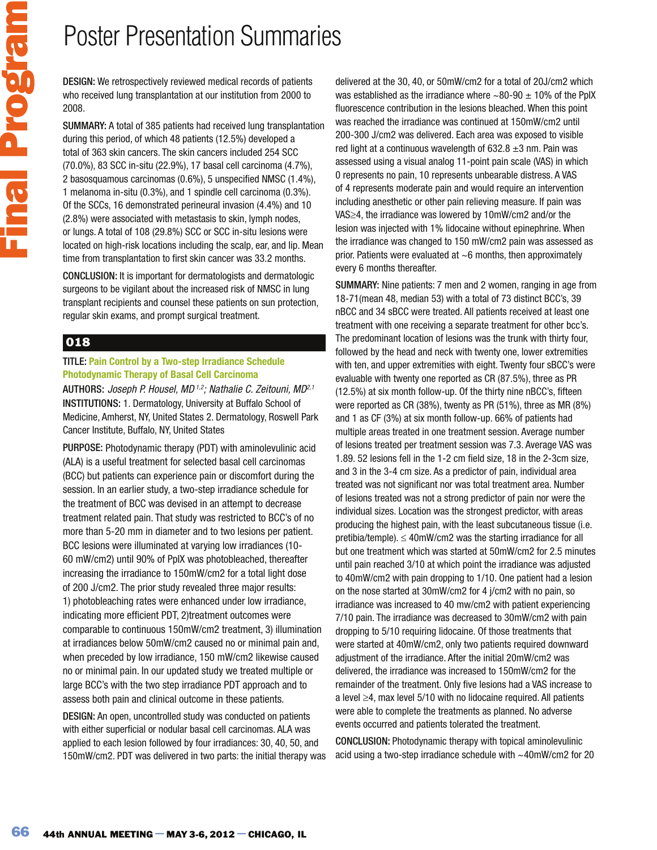DESIGN: We retrospectively reviewed medical records of patients who received lung transplantation at our institution from 2000 to 2008.

SUMMARY: A total of 385 patients had received lung transplantation during this period, of which 48 patients (12.5%) developed a total of 363 skin cancers. The skin cancers included 254 SCC (70.0%), 83 SCC in-situ (22.9%), 17 basal cell carcinoma (4.7%), 2 basosquamous carcinomas (0.6%), 5 unspecified NMSC (1.4%), 1 melanoma in-situ (0.3%), and 1 spindle cell carcinoma (0.3%). Of the SCCs, 16 demonstrated perineural invasion (4.4%) and 10 (2.8%) were associated with metastasis to skin, lymph nodes, or lungs. A total of 108 (29.8%) SCC or SCC in-situ lesions were located on high-risk locations including the scalp, ear, and lip. Mean time from transplantation to first skin cancer was 33.2 months.

CONCLUSION: It is important for dermatologists and dermatologic surgeons to be vigilant about the increased risk of NMSC in lung transplant recipients and counsel these patients on sun protection, regular skin exams, and prompt surgical treatment.

## 018

### TITLE: **Pain Control by a Two-step Irradiance Schedule Photodynamic Therapy of Basal Cell Carcinoma**

AUTHORS: Joseph P. Housel, MD<sup>1,2</sup>; Nathalie C. Zeitouni, MD<sup>2,1</sup> INSTITUTIONS: 1. Dermatology, University at Buffalo School of Medicine, Amherst, NY, United States 2. Dermatology, Roswell Park Cancer Institute, Buffalo, NY, United States

PURPOSE: Photodynamic therapy (PDT) with aminolevulinic acid (ALA) is a useful treatment for selected basal cell carcinomas (BCC) but patients can experience pain or discomfort during the session. In an earlier study, a two-step irradiance schedule for the treatment of BCC was devised in an attempt to decrease treatment related pain. That study was restricted to BCC's of no more than 5-20 mm in diameter and to two lesions per patient. BCC lesions were illuminated at varying low irradiances (10- 60 mW/cm2) until 90% of PpIX was photobleached, thereafter increasing the irradiance to 150mW/cm2 for a total light dose of 200 J/cm2. The prior study revealed three major results: 1) photobleaching rates were enhanced under low irradiance, indicating more efficient PDT, 2)treatment outcomes were comparable to continuous 150mW/cm2 treatment, 3) illumination at irradiances below 50mW/cm2 caused no or minimal pain and, when preceded by low irradiance, 150 mW/cm2 likewise caused no or minimal pain. In our updated study we treated multiple or large BCC's with the two step irradiance PDT approach and to assess both pain and clinical outcome in these patients.

DESIGN: An open, uncontrolled study was conducted on patients with either superficial or nodular basal cell carcinomas. ALA was applied to each lesion followed by four irradiances: 30, 40, 50, and 150mW/cm2. PDT was delivered in two parts: the initial therapy was delivered at the 30, 40, or 50mW/cm2 for a total of 20J/cm2 which was established as the irradiance where  $\sim$ 80-90  $\pm$  10% of the PpIX fluorescence contribution in the lesions bleached. When this point was reached the irradiance was continued at 150mW/cm2 until 200-300 J/cm2 was delivered. Each area was exposed to visible red light at a continuous wavelength of  $632.8 \pm 3$  nm. Pain was assessed using a visual analog 11-point pain scale (VAS) in which 0 represents no pain, 10 represents unbearable distress. A VAS of 4 represents moderate pain and would require an intervention including anesthetic or other pain relieving measure. If pain was VAS $\geq$ 4, the irradiance was lowered by 10mW/cm2 and/or the lesion was injected with 1% lidocaine without epinephrine. When the irradiance was changed to 150 mW/cm2 pain was assessed as prior. Patients were evaluated at  $~6$  months, then approximately every 6 months thereafter.

SUMMARY: Nine patients: 7 men and 2 women, ranging in age from 18-71(mean 48, median 53) with a total of 73 distinct BCC's, 39 nBCC and 34 sBCC were treated. All patients received at least one treatment with one receiving a separate treatment for other bcc's. The predominant location of lesions was the trunk with thirty four, followed by the head and neck with twenty one, lower extremities with ten, and upper extremities with eight. Twenty four sBCC's were evaluable with twenty one reported as CR (87.5%), three as PR (12.5%) at six month follow-up. Of the thirty nine nBCC's, fifteen were reported as CR (38%), twenty as PR (51%), three as MR (8%) and 1 as CF (3%) at six month follow-up. 66% of patients had multiple areas treated in one treatment session. Average number of lesions treated per treatment session was 7.3. Average VAS was 1.89. 52 lesions fell in the 1-2 cm field size, 18 in the 2-3cm size, and 3 in the 3-4 cm size. As a predictor of pain, individual area treated was not significant nor was total treatment area. Number of lesions treated was not a strong predictor of pain nor were the individual sizes. Location was the strongest predictor, with areas producing the highest pain, with the least subcutaneous tissue (i.e. pretibia/temple).  $\leq$  40mW/cm2 was the starting irradiance for all but one treatment which was started at 50mW/cm2 for 2.5 minutes until pain reached 3/10 at which point the irradiance was adjusted to 40mW/cm2 with pain dropping to 1/10. One patient had a lesion on the nose started at 30mW/cm2 for 4 j/cm2 with no pain, so irradiance was increased to 40 mw/cm2 with patient experiencing 7/10 pain. The irradiance was decreased to 30mW/cm2 with pain dropping to 5/10 requiring lidocaine. Of those treatments that were started at 40mW/cm2, only two patients required downward adjustment of the irradiance. After the initial 20mW/cm2 was delivered, the irradiance was increased to 150mW/cm2 for the remainder of the treatment. Only five lesions had a VAS increase to a level  $\geq$ 4, max level 5/10 with no lidocaine required. All patients were able to complete the treatments as planned. No adverse events occurred and patients tolerated the treatment.

CONCLUSION: Photodynamic therapy with topical aminolevulinic acid using a two-step irradiance schedule with ~40mW/cm2 for 20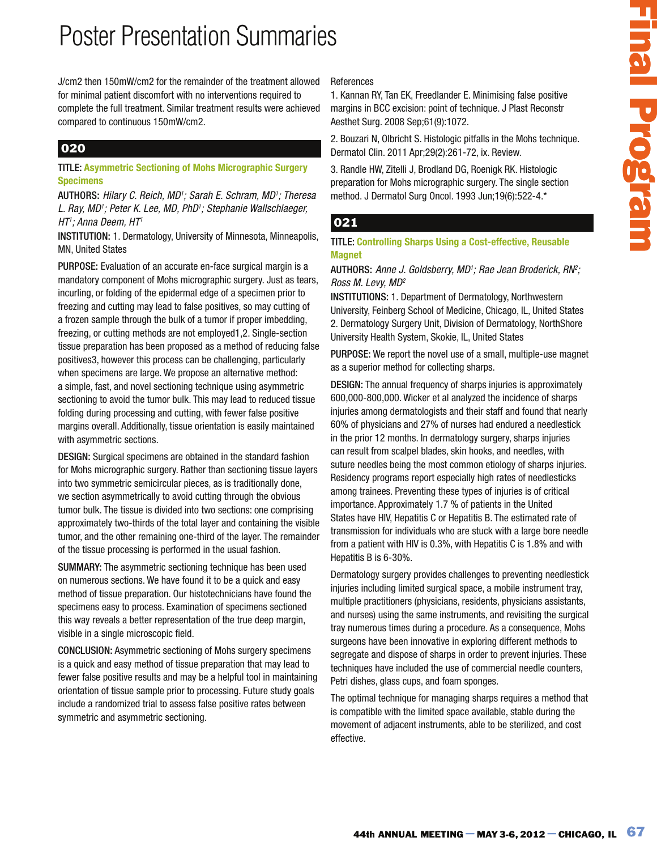J/cm2 then 150mW/cm2 for the remainder of the treatment allowed for minimal patient discomfort with no interventions required to complete the full treatment. Similar treatment results were achieved compared to continuous 150mW/cm2.

## 020

### TITLE: **Asymmetric Sectioning of Mohs Micrographic Surgery Specimens**

AUTHORS: Hilary C. Reich, MD<sup>1</sup>; Sarah E. Schram, MD<sup>1</sup>; Theresa L. Ray, MD<sup>1</sup>; Peter K. Lee, MD, PhD<sup>1</sup>; Stephanie Wallschlaeger, HT'; Anna Deem, HT'

INSTITUTION: 1. Dermatology, University of Minnesota, Minneapolis, MN, United States

PURPOSE: Evaluation of an accurate en-face surgical margin is a mandatory component of Mohs micrographic surgery. Just as tears, incurling, or folding of the epidermal edge of a specimen prior to freezing and cutting may lead to false positives, so may cutting of a frozen sample through the bulk of a tumor if proper imbedding, freezing, or cutting methods are not employed1,2. Single-section tissue preparation has been proposed as a method of reducing false positives3, however this process can be challenging, particularly when specimens are large. We propose an alternative method: a simple, fast, and novel sectioning technique using asymmetric sectioning to avoid the tumor bulk. This may lead to reduced tissue folding during processing and cutting, with fewer false positive margins overall. Additionally, tissue orientation is easily maintained with asymmetric sections.

DESIGN: Surgical specimens are obtained in the standard fashion for Mohs micrographic surgery. Rather than sectioning tissue layers into two symmetric semicircular pieces, as is traditionally done, we section asymmetrically to avoid cutting through the obvious tumor bulk. The tissue is divided into two sections: one comprising approximately two-thirds of the total layer and containing the visible tumor, and the other remaining one-third of the layer. The remainder of the tissue processing is performed in the usual fashion.

SUMMARY: The asymmetric sectioning technique has been used on numerous sections. We have found it to be a quick and easy method of tissue preparation. Our histotechnicians have found the specimens easy to process. Examination of specimens sectioned this way reveals a better representation of the true deep margin, visible in a single microscopic field.

CONCLUSION: Asymmetric sectioning of Mohs surgery specimens is a quick and easy method of tissue preparation that may lead to fewer false positive results and may be a helpful tool in maintaining orientation of tissue sample prior to processing. Future study goals include a randomized trial to assess false positive rates between symmetric and asymmetric sectioning.

### References

1. Kannan RY, Tan EK, Freedlander E. Minimising false positive margins in BCC excision: point of technique. J Plast Reconstr Aesthet Surg. 2008 Sep;61(9):1072.

2. Bouzari N, Olbricht S. Histologic pitfalls in the Mohs technique. Dermatol Clin. 2011 Apr;29(2):261-72, ix. Review.

3. Randle HW, Zitelli J, Brodland DG, Roenigk RK. Histologic preparation for Mohs micrographic surgery. The single section method. J Dermatol Surg Oncol. 1993 Jun;19(6):522-4.\*

### 021

TITLE: **Controlling Sharps Using a Cost-effective, Reusable Magnet** 

AUTHORS: Anne J. Goldsberry, MD<sup>1</sup>; Rae Jean Broderick, RN<sup>e</sup>; Ross M. Levy, MD<sup>2</sup>

INSTITUTIONS: 1. Department of Dermatology, Northwestern University, Feinberg School of Medicine, Chicago, IL, United States 2. Dermatology Surgery Unit, Division of Dermatology, NorthShore University Health System, Skokie, IL, United States

PURPOSE: We report the novel use of a small, multiple-use magnet as a superior method for collecting sharps.

mones<br>
when RV, Tan EK, Freedlander E. Minimising false positive<br>
as in the constant (and the formulae. J Prast Heconstrainty and Nuncering and Nuncering and Nuncering the May 2008 Septi 169:1072.<br>
However the constant (an DESIGN: The annual frequency of sharps injuries is approximately 600,000-800,000. Wicker et al analyzed the incidence of sharps injuries among dermatologists and their staff and found that nearly 60% of physicians and 27% of nurses had endured a needlestick in the prior 12 months. In dermatology surgery, sharps injuries can result from scalpel blades, skin hooks, and needles, with suture needles being the most common etiology of sharps injuries. Residency programs report especially high rates of needlesticks among trainees. Preventing these types of injuries is of critical importance. Approximately 1.7 % of patients in the United States have HIV, Hepatitis C or Hepatitis B. The estimated rate of transmission for individuals who are stuck with a large bore needle from a patient with HIV is 0.3%, with Hepatitis C is 1.8% and with Hepatitis B is 6-30%.

Dermatology surgery provides challenges to preventing needlestick injuries including limited surgical space, a mobile instrument tray, multiple practitioners (physicians, residents, physicians assistants, and nurses) using the same instruments, and revisiting the surgical tray numerous times during a procedure. As a consequence, Mohs surgeons have been innovative in exploring different methods to segregate and dispose of sharps in order to prevent injuries. These techniques have included the use of commercial needle counters, Petri dishes, glass cups, and foam sponges.

The optimal technique for managing sharps requires a method that is compatible with the limited space available, stable during the movement of adjacent instruments, able to be sterilized, and cost effective.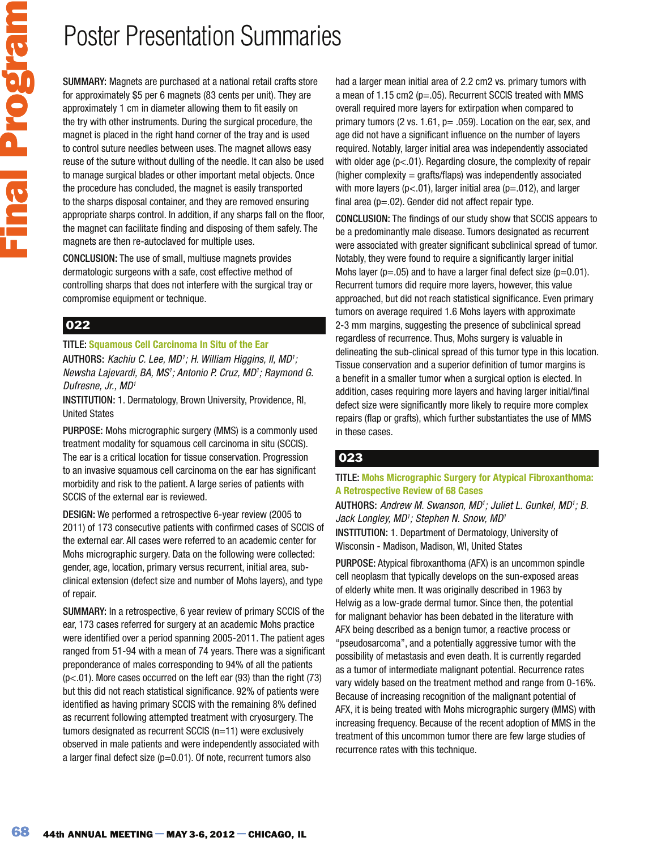SUMMARY: Magnets are purchased at a national retail crafts store for approximately \$5 per 6 magnets (83 cents per unit). They are approximately 1 cm in diameter allowing them to fit easily on the try with other instruments. During the surgical procedure, the magnet is placed in the right hand corner of the tray and is used to control suture needles between uses. The magnet allows easy reuse of the suture without dulling of the needle. It can also be used to manage surgical blades or other important metal objects. Once the procedure has concluded, the magnet is easily transported to the sharps disposal container, and they are removed ensuring appropriate sharps control. In addition, if any sharps fall on the floor, the magnet can facilitate finding and disposing of them safely. The magnets are then re-autoclaved for multiple uses.

CONCLUSION: The use of small, multiuse magnets provides dermatologic surgeons with a safe, cost effective method of controlling sharps that does not interfere with the surgical tray or compromise equipment or technique.

## 022

TITLE: **Squamous Cell Carcinoma In Situ of the Ear**  AUTHORS: Kachiu C. Lee, MD<sup>1</sup>; H. William Higgins, II, MD<sup>1</sup>; Newsha Lajevardi, BA, MS<sup>1</sup>; Antonio P. Cruz, MD<sup>1</sup>; Raymond G. Dufresne, Jr., MD<sup>1</sup>

INSTITUTION: 1. Dermatology, Brown University, Providence, RI, United States

PURPOSE: Mohs micrographic surgery (MMS) is a commonly used treatment modality for squamous cell carcinoma in situ (SCCIS). The ear is a critical location for tissue conservation. Progression to an invasive squamous cell carcinoma on the ear has significant morbidity and risk to the patient. A large series of patients with SCCIS of the external ear is reviewed.

DESIGN: We performed a retrospective 6-year review (2005 to 2011) of 173 consecutive patients with confirmed cases of SCCIS of the external ear. All cases were referred to an academic center for Mohs micrographic surgery. Data on the following were collected: gender, age, location, primary versus recurrent, initial area, subclinical extension (defect size and number of Mohs layers), and type of repair.

SUMMARY: In a retrospective, 6 year review of primary SCCIS of the ear, 173 cases referred for surgery at an academic Mohs practice were identified over a period spanning 2005-2011. The patient ages ranged from 51-94 with a mean of 74 years. There was a significant preponderance of males corresponding to 94% of all the patients (p<.01). More cases occurred on the left ear (93) than the right (73) but this did not reach statistical significance. 92% of patients were identified as having primary SCCIS with the remaining 8% defined as recurrent following attempted treatment with cryosurgery. The tumors designated as recurrent SCCIS (n=11) were exclusively observed in male patients and were independently associated with a larger final defect size  $(p=0.01)$ . Of note, recurrent tumors also

had a larger mean initial area of 2.2 cm2 vs. primary tumors with a mean of 1.15 cm2 (p=.05). Recurrent SCCIS treated with MMS overall required more layers for extirpation when compared to primary tumors (2 vs. 1.61,  $p = .059$ ). Location on the ear, sex, and age did not have a significant influence on the number of layers required. Notably, larger initial area was independently associated with older age (p<.01). Regarding closure, the complexity of repair  $(higher complexity = grafis/flaps)$  was independently associated with more layers ( $p < .01$ ), larger initial area ( $p = .012$ ), and larger final area ( $p = .02$ ). Gender did not affect repair type.

CONCLUSION: The findings of our study show that SCCIS appears to be a predominantly male disease. Tumors designated as recurrent were associated with greater significant subclinical spread of tumor. Notably, they were found to require a significantly larger initial Mohs layer ( $p=.05$ ) and to have a larger final defect size ( $p=0.01$ ). Recurrent tumors did require more layers, however, this value approached, but did not reach statistical significance. Even primary tumors on average required 1.6 Mohs layers with approximate 2-3 mm margins, suggesting the presence of subclinical spread regardless of recurrence. Thus, Mohs surgery is valuable in delineating the sub-clinical spread of this tumor type in this location. Tissue conservation and a superior definition of tumor margins is a benefit in a smaller tumor when a surgical option is elected. In addition, cases requiring more layers and having larger initial/final defect size were significantly more likely to require more complex repairs (flap or grafts), which further substantiates the use of MMS in these cases.

## 023

### TITLE: **Mohs Micrographic Surgery for Atypical Fibroxanthoma: A Retrospective Review of 68 Cases**

AUTHORS: Andrew M. Swanson, MD<sup>1</sup>; Juliet L. Gunkel, MD<sup>1</sup>; B. Jack Longley, MD<sup>1</sup>; Stephen N. Snow, MD<sup>1</sup> INSTITUTION: 1. Department of Dermatology, University of Wisconsin - Madison, Madison, WI, United States

PURPOSE: Atypical fibroxanthoma (AFX) is an uncommon spindle cell neoplasm that typically develops on the sun-exposed areas of elderly white men. It was originally described in 1963 by Helwig as a low-grade dermal tumor. Since then, the potential for malignant behavior has been debated in the literature with AFX being described as a benign tumor, a reactive process or "pseudosarcoma", and a potentially aggressive tumor with the possibility of metastasis and even death. It is currently regarded as a tumor of intermediate malignant potential. Recurrence rates vary widely based on the treatment method and range from 0-16%. Because of increasing recognition of the malignant potential of AFX, it is being treated with Mohs micrographic surgery (MMS) with increasing frequency. Because of the recent adoption of MMS in the treatment of this uncommon tumor there are few large studies of recurrence rates with this technique.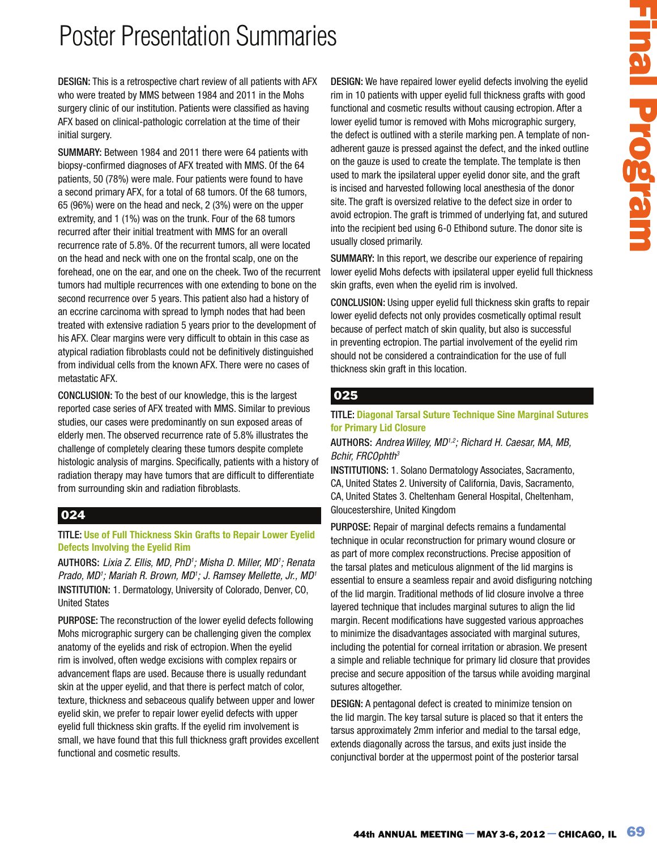DESIGN: This is a retrospective chart review of all patients with AFX who were treated by MMS between 1984 and 2011 in the Mohs surgery clinic of our institution. Patients were classified as having AFX based on clinical-pathologic correlation at the time of their initial surgery.

SUMMARY: Between 1984 and 2011 there were 64 patients with biopsy-confirmed diagnoses of AFX treated with MMS. Of the 64 patients, 50 (78%) were male. Four patients were found to have a second primary AFX, for a total of 68 tumors. Of the 68 tumors, 65 (96%) were on the head and neck, 2 (3%) were on the upper extremity, and 1 (1%) was on the trunk. Four of the 68 tumors recurred after their initial treatment with MMS for an overall recurrence rate of 5.8%. Of the recurrent tumors, all were located on the head and neck with one on the frontal scalp, one on the forehead, one on the ear, and one on the cheek. Two of the recurrent tumors had multiple recurrences with one extending to bone on the second recurrence over 5 years. This patient also had a history of an eccrine carcinoma with spread to lymph nodes that had been treated with extensive radiation 5 years prior to the development of his AFX. Clear margins were very difficult to obtain in this case as atypical radiation fibroblasts could not be definitively distinguished from individual cells from the known AFX. There were no cases of metastatic AFX.

CONCLUSION: To the best of our knowledge, this is the largest reported case series of AFX treated with MMS. Similar to previous studies, our cases were predominantly on sun exposed areas of elderly men. The observed recurrence rate of 5.8% illustrates the challenge of completely clearing these tumors despite complete histologic analysis of margins. Specifically, patients with a history of radiation therapy may have tumors that are difficult to differentiate from surrounding skin and radiation fibroblasts.

### 024

#### TITLE: **Use of Full Thickness Skin Grafts to Repair Lower Eyelid Defects Involving the Eyelid Rim**

AUTHORS: Lixia Z. Ellis, MD, PhD<sup>1</sup>; Misha D. Miller, MD<sup>1</sup>; Renata Prado, MD1; Mariah R. Brown, MD1; J. Ramsey Mellette, Jr., MD1 INSTITUTION: 1. Dermatology, University of Colorado, Denver, CO, United States

PURPOSE: The reconstruction of the lower eyelid defects following Mohs micrographic surgery can be challenging given the complex anatomy of the eyelids and risk of ectropion. When the eyelid rim is involved, often wedge excisions with complex repairs or advancement flaps are used. Because there is usually redundant skin at the upper eyelid, and that there is perfect match of color, texture, thickness and sebaceous qualify between upper and lower eyelid skin, we prefer to repair lower eyelid defects with upper eyelid full thickness skin grafts. If the eyelid rim involvement is small, we have found that this full thickness graft provides excellent functional and cosmetic results.

DESIGN: We have repaired lower eyelid defects involving the eyelid rim in 10 patients with upper eyelid full thickness grafts with good functional and cosmetic results without causing ectropion. After a lower eyelid tumor is removed with Mohs micrographic surgery, the defect is outlined with a sterile marking pen. A template of nonadherent gauze is pressed against the defect, and the inked outline on the gauze is used to create the template. The template is then used to mark the ipsilateral upper eyelid donor site, and the graft is incised and harvested following local anesthesia of the donor site. The graft is oversized relative to the defect size in order to avoid ectropion. The graft is trimmed of underlying fat, and sutured into the recipient bed using 6-0 Ethibond suture. The donor site is usually closed primarily.

SUMMARY: In this report, we describe our experience of repairing lower eyelid Mohs defects with ipsilateral upper eyelid full thickness skin grafts, even when the eyelid rim is involved.

CONCLUSION: Using upper eyelid full thickness skin grafts to repair lower eyelid defects not only provides cosmetically optimal result because of perfect match of skin quality, but also is successful in preventing ectropion. The partial involvement of the eyelid rim should not be considered a contraindication for the use of full thickness skin graft in this location.

### 025

#### TITLE: **Diagonal Tarsal Suture Technique Sine Marginal Sutures for Primary Lid Closure**

#### AUTHORS: Andrea Willey, MD<sup>1,2</sup>; Richard H. Caesar, MA, MB, Bchir, FRCOphth<sup>3</sup>

INSTITUTIONS: 1. Solano Dermatology Associates, Sacramento, CA, United States 2. University of California, Davis, Sacramento, CA, United States 3. Cheltenham General Hospital, Cheltenham, Gloucestershire, United Kingdom

**He have the painted fower eyelid defects involving the eyelid<br>
10 patterns with uspect system when the chicago system with good and<br>
and some consider and the based and increase generation with each consider<br>
end to sout** PURPOSE: Repair of marginal defects remains a fundamental technique in ocular reconstruction for primary wound closure or as part of more complex reconstructions. Precise apposition of the tarsal plates and meticulous alignment of the lid margins is essential to ensure a seamless repair and avoid disfiguring notching of the lid margin. Traditional methods of lid closure involve a three layered technique that includes marginal sutures to align the lid margin. Recent modifications have suggested various approaches to minimize the disadvantages associated with marginal sutures, including the potential for corneal irritation or abrasion. We present a simple and reliable technique for primary lid closure that provides precise and secure apposition of the tarsus while avoiding marginal sutures altogether.

DESIGN: A pentagonal defect is created to minimize tension on the lid margin. The key tarsal suture is placed so that it enters the tarsus approximately 2mm inferior and medial to the tarsal edge, extends diagonally across the tarsus, and exits just inside the conjunctival border at the uppermost point of the posterior tarsal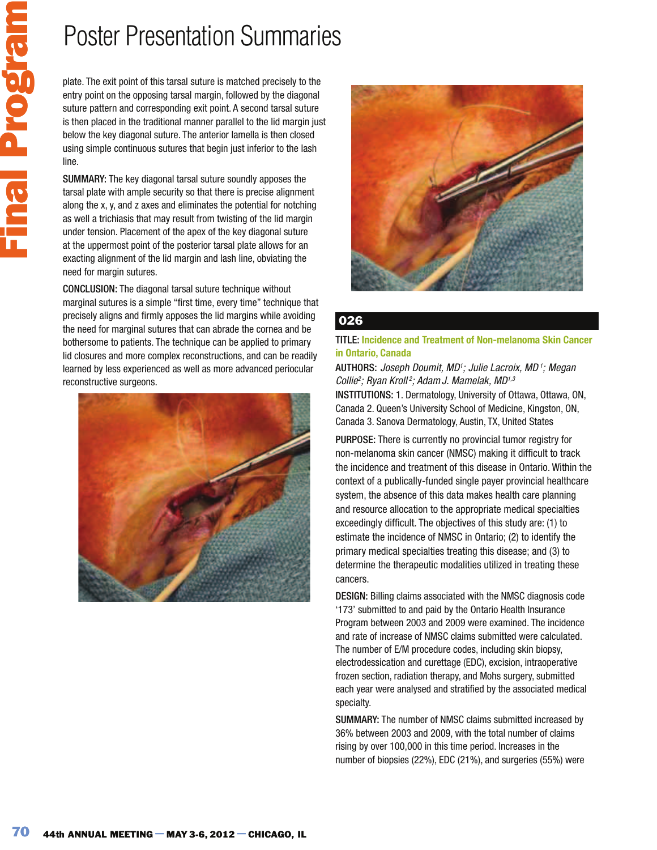plate. The exit point of this tarsal suture is matched precisely to the entry point on the opposing tarsal margin, followed by the diagonal suture pattern and corresponding exit point. A second tarsal suture is then placed in the traditional manner parallel to the lid margin just below the key diagonal suture. The anterior lamella is then closed using simple continuous sutures that begin just inferior to the lash line.

SUMMARY: The key diagonal tarsal suture soundly apposes the tarsal plate with ample security so that there is precise alignment along the x, y, and z axes and eliminates the potential for notching as well a trichiasis that may result from twisting of the lid margin under tension. Placement of the apex of the key diagonal suture at the uppermost point of the posterior tarsal plate allows for an exacting alignment of the lid margin and lash line, obviating the need for margin sutures.

CONCLUSION: The diagonal tarsal suture technique without marginal sutures is a simple "first time, every time" technique that precisely aligns and firmly apposes the lid margins while avoiding the need for marginal sutures that can abrade the cornea and be bothersome to patients. The technique can be applied to primary lid closures and more complex reconstructions, and can be readily learned by less experienced as well as more advanced periocular reconstructive surgeons.





## 026

#### TITLE: **Incidence and Treatment of Non-melanoma Skin Cancer in Ontario, Canada**

AUTHORS: Joseph Doumit, MD<sup>1</sup>; Julie Lacroix, MD<sup>1</sup>; Megan Collie<sup>2</sup>; Ryan Kroll<sup>2</sup>; Adam J. Mamelak, MD<sup>1,3</sup> INSTITUTIONS: 1. Dermatology, University of Ottawa, Ottawa, ON, Canada 2. Queen's University School of Medicine, Kingston, ON, Canada 3. Sanova Dermatology, Austin, TX, United States

PURPOSE: There is currently no provincial tumor registry for non-melanoma skin cancer (NMSC) making it difficult to track the incidence and treatment of this disease in Ontario. Within the context of a publically-funded single payer provincial healthcare system, the absence of this data makes health care planning and resource allocation to the appropriate medical specialties exceedingly difficult. The objectives of this study are: (1) to estimate the incidence of NMSC in Ontario; (2) to identify the primary medical specialties treating this disease; and (3) to determine the therapeutic modalities utilized in treating these cancers.

DESIGN: Billing claims associated with the NMSC diagnosis code '173' submitted to and paid by the Ontario Health Insurance Program between 2003 and 2009 were examined. The incidence and rate of increase of NMSC claims submitted were calculated. The number of E/M procedure codes, including skin biopsy, electrodessication and curettage (EDC), excision, intraoperative frozen section, radiation therapy, and Mohs surgery, submitted each year were analysed and stratified by the associated medical specialty.

SUMMARY: The number of NMSC claims submitted increased by 36% between 2003 and 2009, with the total number of claims rising by over 100,000 in this time period. Increases in the number of biopsies (22%), EDC (21%), and surgeries (55%) were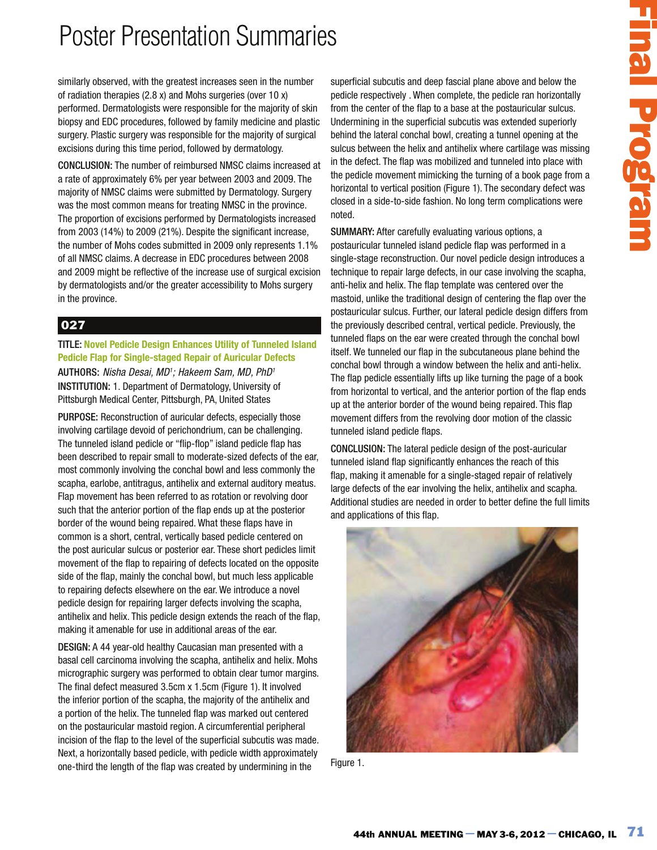similarly observed, with the greatest increases seen in the number of radiation therapies (2.8 x) and Mohs surgeries (over 10 x) performed. Dermatologists were responsible for the majority of skin biopsy and EDC procedures, followed by family medicine and plastic surgery. Plastic surgery was responsible for the majority of surgical excisions during this time period, followed by dermatology.

CONCLUSION: The number of reimbursed NMSC claims increased at a rate of approximately 6% per year between 2003 and 2009. The majority of NMSC claims were submitted by Dermatology. Surgery was the most common means for treating NMSC in the province. The proportion of excisions performed by Dermatologists increased from 2003 (14%) to 2009 (21%). Despite the significant increase, the number of Mohs codes submitted in 2009 only represents 1.1% of all NMSC claims. A decrease in EDC procedures between 2008 and 2009 might be reflective of the increase use of surgical excision by dermatologists and/or the greater accessibility to Mohs surgery in the province.

## 027

TITLE: **Novel Pedicle Design Enhances Utility of Tunneled Island Pedicle Flap for Single-staged Repair of Auricular Defects**  AUTHORS: Nisha Desai, MD<sup>1</sup>; Hakeem Sam, MD, PhD<sup>1</sup> INSTITUTION: 1. Department of Dermatology, University of Pittsburgh Medical Center, Pittsburgh, PA, United States

PURPOSE: Reconstruction of auricular defects, especially those involving cartilage devoid of perichondrium, can be challenging. The tunneled island pedicle or "flip-flop" island pedicle flap has been described to repair small to moderate-sized defects of the ear, most commonly involving the conchal bowl and less commonly the scapha, earlobe, antitragus, antihelix and external auditory meatus. Flap movement has been referred to as rotation or revolving door such that the anterior portion of the flap ends up at the posterior border of the wound being repaired. What these flaps have in common is a short, central, vertically based pedicle centered on the post auricular sulcus or posterior ear. These short pedicles limit movement of the flap to repairing of defects located on the opposite side of the flap, mainly the conchal bowl, but much less applicable to repairing defects elsewhere on the ear. We introduce a novel pedicle design for repairing larger defects involving the scapha, antihelix and helix. This pedicle design extends the reach of the flap, making it amenable for use in additional areas of the ear.

DESIGN: A 44 year-old healthy Caucasian man presented with a basal cell carcinoma involving the scapha, antihelix and helix. Mohs micrographic surgery was performed to obtain clear tumor margins. The final defect measured 3.5cm x 1.5cm (Figure 1). It involved the inferior portion of the scapha, the majority of the antihelix and a portion of the helix. The tunneled flap was marked out centered on the postauricular mastoid region. A circumferential peripheral incision of the flap to the level of the superficial subcutis was made. Next, a horizontally based pedicle, with pedicle width approximately one-third the length of the flap was created by undermining in the

superficial subcutis and deep fascial plane above and below the pedicle respectively . When complete, the pedicle ran horizontally from the center of the flap to a base at the postauricular sulcus. Undermining in the superficial subcutis was extended superiorly behind the lateral conchal bowl, creating a tunnel opening at the sulcus between the helix and antihelix where cartilage was missing in the defect. The flap was mobilized and tunneled into place with the pedicle movement mimicking the turning of a book page from a horizontal to vertical position (Figure 1). The secondary defect was closed in a side-to-side fashion. No long term complications were noted.

SUMMARY: After carefully evaluating various options, a postauricular tunneled island pedicle flap was performed in a single-stage reconstruction. Our novel pedicle design introduces a technique to repair large defects, in our case involving the scapha, anti-helix and helix. The flap template was centered over the mastoid, unlike the traditional design of centering the flap over the postauricular sulcus. Further, our lateral pedicle design differs from the previously described central, vertical pedicle. Previously, the tunneled flaps on the ear were created through the conchal bowl itself. We tunneled our flap in the subcutaneous plane behind the conchal bowl through a window between the helix and anti-helix. The flap pedicle essentially lifts up like turning the page of a book from horizontal to vertical, and the anterior portion of the flap ends up at the anterior border of the wound being repaired. This flap movement differs from the revolving door motion of the classic tunneled island pedicle flaps.

CONCLUSION: The lateral pedicle design of the post-auricular tunneled island flap significantly enhances the reach of this flap, making it amenable for a single-staged repair of relatively large defects of the ear involving the helix, antihelix and scapha. Additional studies are needed in order to better define the full limits and applications of this flap.



Figure 1.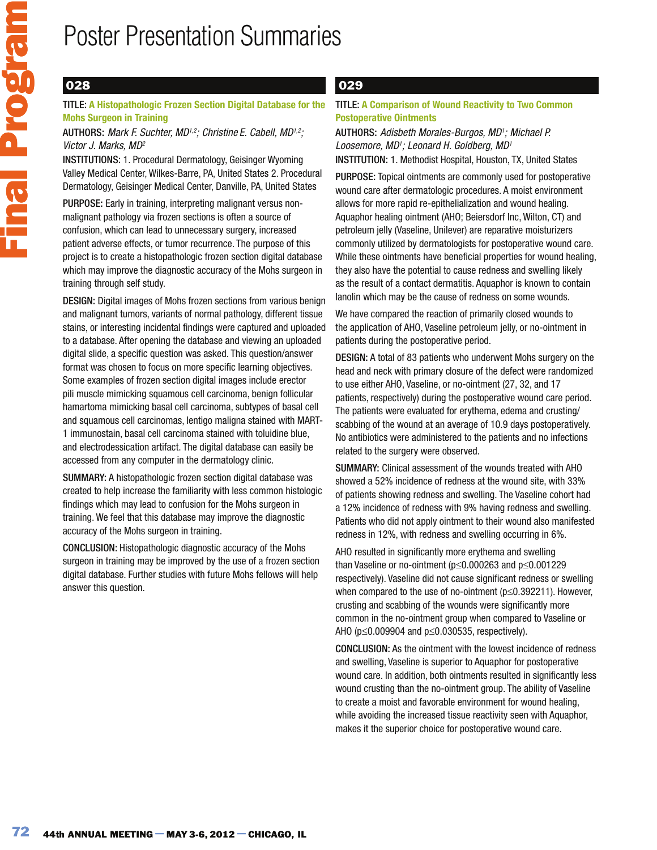## 028

TITLE: **A Histopathologic Frozen Section Digital Database for the Mohs Surgeon in Training** 

#### AUTHORS: Mark F. Suchter, MD<sup>1,2</sup>; Christine E. Cabell, MD<sup>1,2</sup>; Victor J. Marks, MD<sup>2</sup>

INSTITUTIONS: 1. Procedural Dermatology, Geisinger Wyoming Valley Medical Center, Wilkes-Barre, PA, United States 2. Procedural Dermatology, Geisinger Medical Center, Danville, PA, United States

PURPOSE: Early in training, interpreting malignant versus nonmalignant pathology via frozen sections is often a source of confusion, which can lead to unnecessary surgery, increased patient adverse effects, or tumor recurrence. The purpose of this project is to create a histopathologic frozen section digital database which may improve the diagnostic accuracy of the Mohs surgeon in training through self study.

DESIGN: Digital images of Mohs frozen sections from various benign and malignant tumors, variants of normal pathology, different tissue stains, or interesting incidental findings were captured and uploaded to a database. After opening the database and viewing an uploaded digital slide, a specific question was asked. This question/answer format was chosen to focus on more specific learning objectives. Some examples of frozen section digital images include erector pili muscle mimicking squamous cell carcinoma, benign follicular hamartoma mimicking basal cell carcinoma, subtypes of basal cell and squamous cell carcinomas, lentigo maligna stained with MART-1 immunostain, basal cell carcinoma stained with toluidine blue, and electrodessication artifact. The digital database can easily be accessed from any computer in the dermatology clinic.

SUMMARY: A histopathologic frozen section digital database was created to help increase the familiarity with less common histologic findings which may lead to confusion for the Mohs surgeon in training. We feel that this database may improve the diagnostic accuracy of the Mohs surgeon in training.

CONCLUSION: Histopathologic diagnostic accuracy of the Mohs surgeon in training may be improved by the use of a frozen section digital database. Further studies with future Mohs fellows will help answer this question.

### 029

TITLE: **A Comparison of Wound Reactivity to Two Common Postoperative Ointments** 

AUTHORS: Adisbeth Morales-Burgos, MD<sup>1</sup>; Michael P. Loosemore, MD1; Leonard H. Goldberg, MD1 INSTITUTION: 1. Methodist Hospital, Houston, TX, United States

PURPOSE: Topical ointments are commonly used for postoperative wound care after dermatologic procedures. A moist environment allows for more rapid re-epithelialization and wound healing. Aquaphor healing ointment (AHO; Beiersdorf Inc, Wilton, CT) and petroleum jelly (Vaseline, Unilever) are reparative moisturizers commonly utilized by dermatologists for postoperative wound care. While these ointments have beneficial properties for wound healing, they also have the potential to cause redness and swelling likely as the result of a contact dermatitis. Aquaphor is known to contain lanolin which may be the cause of redness on some wounds.

We have compared the reaction of primarily closed wounds to the application of AHO, Vaseline petroleum jelly, or no-ointment in patients during the postoperative period.

DESIGN: A total of 83 patients who underwent Mohs surgery on the head and neck with primary closure of the defect were randomized to use either AHO, Vaseline, or no-ointment (27, 32, and 17 patients, respectively) during the postoperative wound care period. The patients were evaluated for erythema, edema and crusting/ scabbing of the wound at an average of 10.9 days postoperatively. No antibiotics were administered to the patients and no infections related to the surgery were observed.

SUMMARY: Clinical assessment of the wounds treated with AHO showed a 52% incidence of redness at the wound site, with 33% of patients showing redness and swelling. The Vaseline cohort had a 12% incidence of redness with 9% having redness and swelling. Patients who did not apply ointment to their wound also manifested redness in 12%, with redness and swelling occurring in 6%.

AHO resulted in significantly more erythema and swelling than Vaseline or no-ointment ( $p \le 0.000263$  and  $p \le 0.001229$ respectively). Vaseline did not cause significant redness or swelling when compared to the use of no-ointment ( $p \le 0.392211$ ). However, crusting and scabbing of the wounds were significantly more common in the no-ointment group when compared to Vaseline or AHO ( $p \le 0.009904$  and  $p \le 0.030535$ , respectively).

CONCLUSION: As the ointment with the lowest incidence of redness and swelling, Vaseline is superior to Aquaphor for postoperative wound care. In addition, both ointments resulted in significantly less wound crusting than the no-ointment group. The ability of Vaseline to create a moist and favorable environment for wound healing, while avoiding the increased tissue reactivity seen with Aquaphor, makes it the superior choice for postoperative wound care.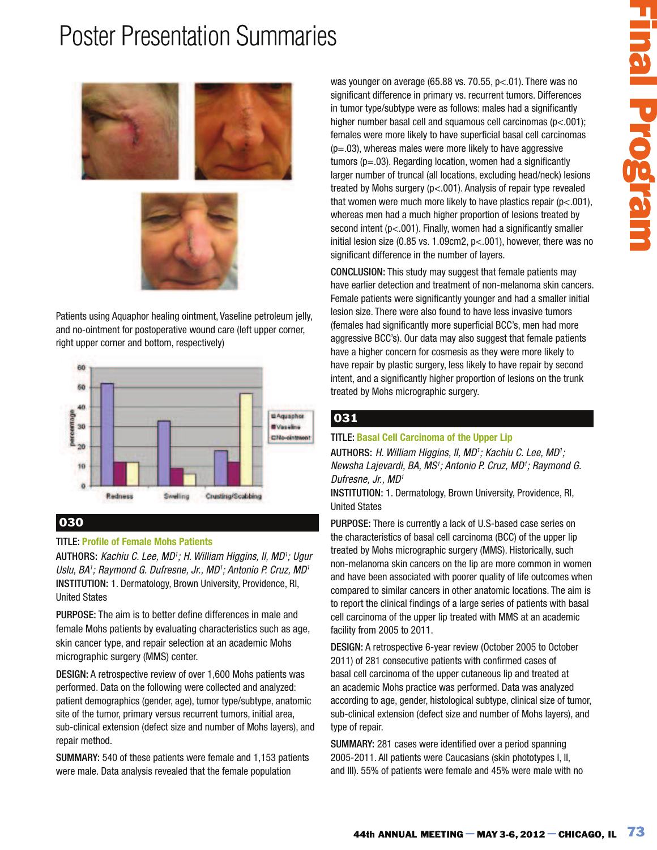



Patients using Aquaphor healing ointment, Vaseline petroleum jelly, and no-ointment for postoperative wound care (left upper corner, right upper corner and bottom, respectively)



### 030

### TITLE: **Profile of Female Mohs Patients**

AUTHORS: Kachiu C. Lee, MD<sup>1</sup>; H. William Higgins, II, MD<sup>1</sup>; Ugur Uslu, BA1; Raymond G. Dufresne, Jr., MD1; Antonio P. Cruz, MD1 INSTITUTION: 1. Dermatology, Brown University, Providence, RI, United States

PURPOSE: The aim is to better define differences in male and female Mohs patients by evaluating characteristics such as age, skin cancer type, and repair selection at an academic Mohs micrographic surgery (MMS) center.

DESIGN: A retrospective review of over 1,600 Mohs patients was performed. Data on the following were collected and analyzed: patient demographics (gender, age), tumor type/subtype, anatomic site of the tumor, primary versus recurrent tumors, initial area, sub-clinical extension (defect size and number of Mohs layers), and repair method.

SUMMARY: 540 of these patients were female and 1,153 patients were male. Data analysis revealed that the female population

**EXAMPLE on average (65.86 vs. 70.55, pc.01). There was no<br>can't difference in primary vs. recurrent tunnors. Differences<br>and the formed to may stress that a symmetric control in the matter of the matter of the matter of** was younger on average (65.88 vs. 70.55, p<.01). There was no significant difference in primary vs. recurrent tumors. Differences in tumor type/subtype were as follows: males had a significantly higher number basal cell and squamous cell carcinomas (p<.001); females were more likely to have superficial basal cell carcinomas  $(p=.03)$ , whereas males were more likely to have aggressive  $t$ umors ( $p = .03$ ). Regarding location, women had a significantly larger number of truncal (all locations, excluding head/neck) lesions treated by Mohs surgery (p<.001). Analysis of repair type revealed that women were much more likely to have plastics repair (p<.001), whereas men had a much higher proportion of lesions treated by second intent (p<.001). Finally, women had a significantly smaller initial lesion size (0.85 vs. 1.09cm2, p<.001), however, there was no significant difference in the number of layers.

CONCLUSION: This study may suggest that female patients may have earlier detection and treatment of non-melanoma skin cancers. Female patients were significantly younger and had a smaller initial lesion size. There were also found to have less invasive tumors (females had significantly more superficial BCC's, men had more aggressive BCC's). Our data may also suggest that female patients have a higher concern for cosmesis as they were more likely to have repair by plastic surgery, less likely to have repair by second intent, and a significantly higher proportion of lesions on the trunk treated by Mohs micrographic surgery.

### 031

### TITLE: **Basal Cell Carcinoma of the Upper Lip**

AUTHORS: H. William Higgins, II, MD<sup>1</sup>; Kachiu C. Lee, MD<sup>1</sup>; Newsha Lajevardi, BA, MS<sup>1</sup>; Antonio P. Cruz, MD<sup>1</sup>; Raymond G. Dufresne, Jr., MD<sup>1</sup>

INSTITUTION: 1. Dermatology, Brown University, Providence, RI, United States

PURPOSE: There is currently a lack of U.S-based case series on the characteristics of basal cell carcinoma (BCC) of the upper lip treated by Mohs micrographic surgery (MMS). Historically, such non-melanoma skin cancers on the lip are more common in women and have been associated with poorer quality of life outcomes when compared to similar cancers in other anatomic locations. The aim is to report the clinical findings of a large series of patients with basal cell carcinoma of the upper lip treated with MMS at an academic facility from 2005 to 2011.

DESIGN: A retrospective 6-year review (October 2005 to October 2011) of 281 consecutive patients with confirmed cases of basal cell carcinoma of the upper cutaneous lip and treated at an academic Mohs practice was performed. Data was analyzed according to age, gender, histological subtype, clinical size of tumor, sub-clinical extension (defect size and number of Mohs layers), and type of repair.

SUMMARY: 281 cases were identified over a period spanning 2005-2011. All patients were Caucasians (skin phototypes I, II, and III). 55% of patients were female and 45% were male with no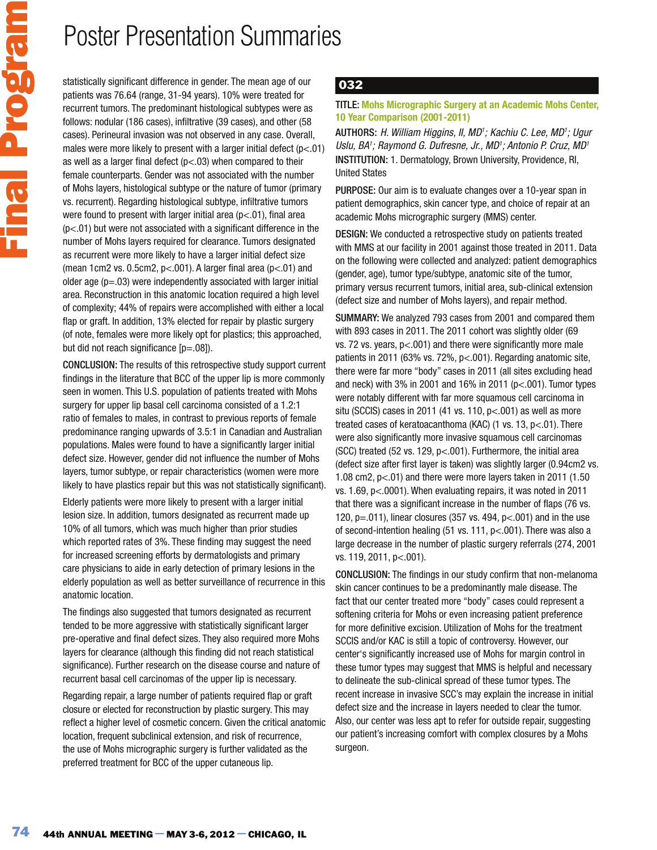statistically significant difference in gender. The mean age of our patients was 76.64 (range, 31-94 years). 10% were treated for recurrent tumors. The predominant histological subtypes were as follows: nodular (186 cases), infiltrative (39 cases), and other (58 cases). Perineural invasion was not observed in any case. Overall, males were more likely to present with a larger initial defect  $(p<.01)$ as well as a larger final defect ( $p < .03$ ) when compared to their female counterparts. Gender was not associated with the number of Mohs layers, histological subtype or the nature of tumor (primary vs. recurrent). Regarding histological subtype, infiltrative tumors were found to present with larger initial area  $(p< 01)$ , final area  $(p<.01)$  but were not associated with a significant difference in the number of Mohs layers required for clearance. Tumors designated as recurrent were more likely to have a larger initial defect size (mean 1cm2 vs. 0.5cm2,  $p<.001$ ). A larger final area ( $p<.01$ ) and older age  $(p=.03)$  were independently associated with larger initial area. Reconstruction in this anatomic location required a high level of complexity; 44% of repairs were accomplished with either a local flap or graft. In addition, 13% elected for repair by plastic surgery (of note, females were more likely opt for plastics; this approached, but did not reach significance [p=.08]).

CONCLUSION: The results of this retrospective study support current findings in the literature that BCC of the upper lip is more commonly seen in women. This U.S. population of patients treated with Mohs surgery for upper lip basal cell carcinoma consisted of a 1.2:1 ratio of females to males, in contrast to previous reports of female predominance ranging upwards of 3.5:1 in Canadian and Australian populations. Males were found to have a significantly larger initial defect size. However, gender did not influence the number of Mohs layers, tumor subtype, or repair characteristics (women were more likely to have plastics repair but this was not statistically significant).

Elderly patients were more likely to present with a larger initial lesion size. In addition, tumors designated as recurrent made up 10% of all tumors, which was much higher than prior studies which reported rates of 3%. These finding may suggest the need for increased screening efforts by dermatologists and primary care physicians to aide in early detection of primary lesions in the elderly population as well as better surveillance of recurrence in this anatomic location.

The findings also suggested that tumors designated as recurrent tended to be more aggressive with statistically significant larger pre-operative and final defect sizes. They also required more Mohs layers for clearance (although this finding did not reach statistical significance). Further research on the disease course and nature of recurrent basal cell carcinomas of the upper lip is necessary.

Regarding repair, a large number of patients required flap or graft closure or elected for reconstruction by plastic surgery. This may reflect a higher level of cosmetic concern. Given the critical anatomic location, frequent subclinical extension, and risk of recurrence, the use of Mohs micrographic surgery is further validated as the preferred treatment for BCC of the upper cutaneous lip.

## 032

### TITLE: **Mohs Micrographic Surgery at an Academic Mohs Center, 10 Year Comparison (2001-2011)**

AUTHORS: H. William Higgins, II, MD<sup>1</sup>; Kachiu C. Lee, MD<sup>1</sup>; Ugur Uslu, BA1; Raymond G. Dufresne, Jr., MD1; Antonio P. Cruz, MD1 INSTITUTION: 1. Dermatology, Brown University, Providence, RI, United States

PURPOSE: Our aim is to evaluate changes over a 10-year span in patient demographics, skin cancer type, and choice of repair at an academic Mohs micrographic surgery (MMS) center.

DESIGN: We conducted a retrospective study on patients treated with MMS at our facility in 2001 against those treated in 2011. Data on the following were collected and analyzed: patient demographics (gender, age), tumor type/subtype, anatomic site of the tumor, primary versus recurrent tumors, initial area, sub-clinical extension (defect size and number of Mohs layers), and repair method.

SUMMARY: We analyzed 793 cases from 2001 and compared them with 893 cases in 2011. The 2011 cohort was slightly older (69 vs. 72 vs. years, p<.001) and there were significantly more male patients in 2011 (63% vs. 72%, p<.001). Regarding anatomic site, there were far more "body" cases in 2011 (all sites excluding head and neck) with 3% in 2001 and 16% in 2011 ( $p$ <.001). Tumor types were notably different with far more squamous cell carcinoma in situ (SCCIS) cases in 2011 (41 vs. 110,  $p<.001$ ) as well as more treated cases of keratoacanthoma (KAC) (1 vs. 13, p<.01). There were also significantly more invasive squamous cell carcinomas (SCC) treated (52 vs. 129,  $p$ <.001). Furthermore, the initial area (defect size after first layer is taken) was slightly larger (0.94cm2 vs. 1.08 cm2, p<.01) and there were more layers taken in 2011 (1.50 vs. 1.69, p<.0001). When evaluating repairs, it was noted in 2011 that there was a significant increase in the number of flaps (76 vs. 120,  $p = .011$ ), linear closures (357 vs. 494,  $p < .001$ ) and in the use of second-intention healing (51 vs. 111, p<.001). There was also a large decrease in the number of plastic surgery referrals (274, 2001 vs. 119, 2011, p<.001).

CONCLUSION: The findings in our study confirm that non-melanoma skin cancer continues to be a predominantly male disease. The fact that our center treated more "body" cases could represent a softening criteria for Mohs or even increasing patient preference for more definitive excision. Utilization of Mohs for the treatment SCCIS and/or KAC is still a topic of controversy. However, our center's significantly increased use of Mohs for margin control in these tumor types may suggest that MMS is helpful and necessary to delineate the sub-clinical spread of these tumor types. The recent increase in invasive SCC's may explain the increase in initial defect size and the increase in layers needed to clear the tumor. Also, our center was less apt to refer for outside repair, suggesting our patient's increasing comfort with complex closures by a Mohs surgeon.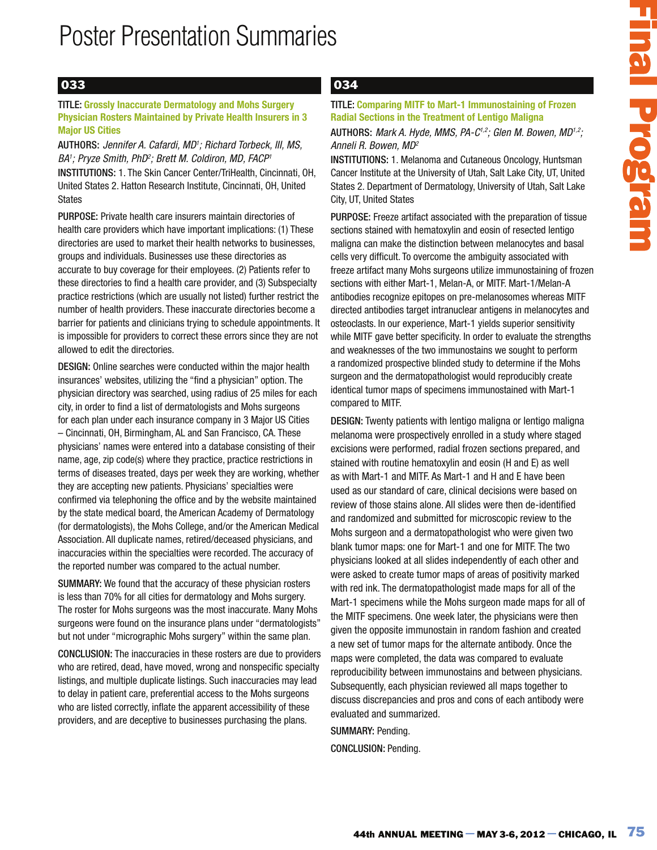## 033

#### TITLE: **Grossly Inaccurate Dermatology and Mohs Surgery Physician Rosters Maintained by Private Health Insurers in 3 Major US Cities**

AUTHORS: Jennifer A. Cafardi, MD<sup>1</sup>; Richard Torbeck, III, MS, BA1; Pryze Smith, PhD<sup>2</sup>; Brett M. Coldiron, MD, FACP<sup>1</sup> INSTITUTIONS: 1. The Skin Cancer Center/TriHealth, Cincinnati, OH, United States 2. Hatton Research Institute, Cincinnati, OH, United States

PURPOSE: Private health care insurers maintain directories of health care providers which have important implications: (1) These directories are used to market their health networks to businesses, groups and individuals. Businesses use these directories as accurate to buy coverage for their employees. (2) Patients refer to these directories to find a health care provider, and (3) Subspecialty practice restrictions (which are usually not listed) further restrict the number of health providers. These inaccurate directories become a barrier for patients and clinicians trying to schedule appointments. It is impossible for providers to correct these errors since they are not allowed to edit the directories.

DESIGN: Online searches were conducted within the major health insurances' websites, utilizing the "find a physician" option. The physician directory was searched, using radius of 25 miles for each city, in order to find a list of dermatologists and Mohs surgeons for each plan under each insurance company in 3 Major US Cities – Cincinnati, OH, Birmingham, AL and San Francisco, CA. These physicians' names were entered into a database consisting of their name, age, zip code(s) where they practice, practice restrictions in terms of diseases treated, days per week they are working, whether they are accepting new patients. Physicians' specialties were confirmed via telephoning the office and by the website maintained by the state medical board, the American Academy of Dermatology (for dermatologists), the Mohs College, and/or the American Medical Association. All duplicate names, retired/deceased physicians, and inaccuracies within the specialties were recorded. The accuracy of the reported number was compared to the actual number.

SUMMARY: We found that the accuracy of these physician rosters is less than 70% for all cities for dermatology and Mohs surgery. The roster for Mohs surgeons was the most inaccurate. Many Mohs surgeons were found on the insurance plans under "dermatologists" but not under "micrographic Mohs surgery" within the same plan.

CONCLUSION: The inaccuracies in these rosters are due to providers who are retired, dead, have moved, wrong and nonspecific specialty listings, and multiple duplicate listings. Such inaccuracies may lead to delay in patient care, preferential access to the Mohs surgeons who are listed correctly, inflate the apparent accessibility of these providers, and are deceptive to businesses purchasing the plans.

### 034

### TITLE: **Comparing MITF to Mart-1 Immunostaining of Frozen Radial Sections in the Treatment of Lentigo Maligna**

#### AUTHORS: Mark A. Hyde, MMS, PA- $C^{1,2}$ ; Glen M. Bowen, MD<sup>1,2</sup>; Anneli R. Bowen, MD<sup>2</sup>

INSTITUTIONS: 1. Melanoma and Cutaneous Oncology, Huntsman Cancer Institute at the University of Utah, Salt Lake City, UT, United States 2. Department of Dermatology, University of Utah, Salt Lake City, UT, United States

PURPOSE: Freeze artifact associated with the preparation of tissue sections stained with hematoxylin and eosin of resected lentigo maligna can make the distinction between melanocytes and basal cells very difficult. To overcome the ambiguity associated with freeze artifact many Mohs surgeons utilize immunostaining of frozen sections with either Mart-1, Melan-A, or MITF. Mart-1/Melan-A antibodies recognize epitopes on pre-melanosomes whereas MITF directed antibodies target intranuclear antigens in melanocytes and osteoclasts. In our experience, Mart-1 yields superior sensitivity while MITF gave better specificity. In order to evaluate the strengths and weaknesses of the two immunostains we sought to perform a randomized prospective blinded study to determine if the Mohs surgeon and the dermatopathologist would reproducibly create identical tumor maps of specimens immunostained with Mart-1 compared to MITF.

Comparing MITF to Mark-1 immunostalaning of Frozen<br>
Sons thank A Hyde, MMS AP-C<sup>+</sup> (slow M, 80 years)<br>
16. 80 Mosk And A Hyde, MMS AP-C<sup>+</sup> (slow M, 80 year, MD<sup>++</sup>).<br>
176, 2006: Mark A Hyde, MMS AP-C<sup>+</sup> (slow M, 2000) Thur DESIGN: Twenty patients with lentigo maligna or lentigo maligna melanoma were prospectively enrolled in a study where staged excisions were performed, radial frozen sections prepared, and stained with routine hematoxylin and eosin (H and E) as well as with Mart-1 and MITF. As Mart-1 and H and E have been used as our standard of care, clinical decisions were based on review of those stains alone. All slides were then de-identified and randomized and submitted for microscopic review to the Mohs surgeon and a dermatopathologist who were given two blank tumor maps: one for Mart-1 and one for MITF. The two physicians looked at all slides independently of each other and were asked to create tumor maps of areas of positivity marked with red ink. The dermatopathologist made maps for all of the Mart-1 specimens while the Mohs surgeon made maps for all of the MITF specimens. One week later, the physicians were then given the opposite immunostain in random fashion and created a new set of tumor maps for the alternate antibody. Once the maps were completed, the data was compared to evaluate reproducibility between immunostains and between physicians. Subsequently, each physician reviewed all maps together to discuss discrepancies and pros and cons of each antibody were evaluated and summarized.

SUMMARY: Pending. CONCLUSION: Pending.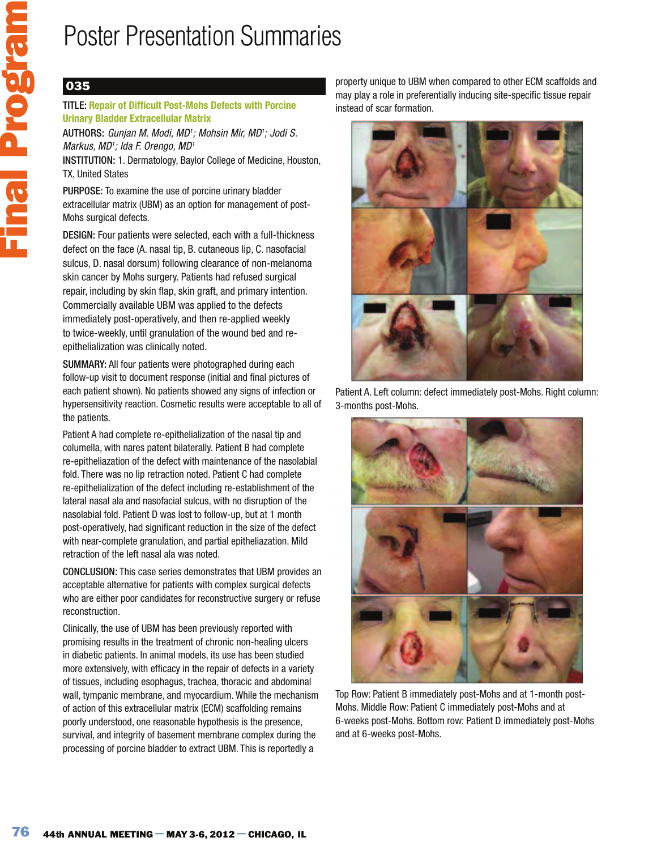## 035

### TITLE: **Repair of Difficult Post-Mohs Defects with Porcine Urinary Bladder Extracellular Matrix**

AUTHORS: Gunjan M. Modi, MD<sup>1</sup>; Mohsin Mir, MD<sup>1</sup>; Jodi S. Markus, MD<sup>1</sup>; Ida F. Orengo, MD<sup>1</sup>

INSTITUTION: 1. Dermatology, Baylor College of Medicine, Houston, TX, United States

PURPOSE: To examine the use of porcine urinary bladder extracellular matrix (UBM) as an option for management of post-Mohs surgical defects.

DESIGN: Four patients were selected, each with a full-thickness defect on the face (A. nasal tip, B. cutaneous lip, C. nasofacial sulcus, D. nasal dorsum) following clearance of non-melanoma skin cancer by Mohs surgery. Patients had refused surgical repair, including by skin flap, skin graft, and primary intention. Commercially available UBM was applied to the defects immediately post-operatively, and then re-applied weekly to twice-weekly, until granulation of the wound bed and reepithelialization was clinically noted.

SUMMARY: All four patients were photographed during each follow-up visit to document response (initial and final pictures of each patient shown). No patients showed any signs of infection or hypersensitivity reaction. Cosmetic results were acceptable to all of the patients.

Patient A had complete re-epithelialization of the nasal tip and columella, with nares patent bilaterally. Patient B had complete re-epitheliazation of the defect with maintenance of the nasolabial fold. There was no lip retraction noted. Patient C had complete re-epithelialization of the defect including re-establishment of the lateral nasal ala and nasofacial sulcus, with no disruption of the nasolabial fold. Patient D was lost to follow-up, but at 1 month post-operatively, had significant reduction in the size of the defect with near-complete granulation, and partial epitheliazation. Mild retraction of the left nasal ala was noted.

CONCLUSION: This case series demonstrates that UBM provides an acceptable alternative for patients with complex surgical defects who are either poor candidates for reconstructive surgery or refuse reconstruction.

Clinically, the use of UBM has been previously reported with promising results in the treatment of chronic non-healing ulcers in diabetic patients. In animal models, its use has been studied more extensively, with efficacy in the repair of defects in a variety of tissues, including esophagus, trachea, thoracic and abdominal wall, tympanic membrane, and myocardium. While the mechanism of action of this extracellular matrix (ECM) scaffolding remains poorly understood, one reasonable hypothesis is the presence, survival, and integrity of basement membrane complex during the processing of porcine bladder to extract UBM. This is reportedly a

property unique to UBM when compared to other ECM scaffolds and may play a role in preferentially inducing site-specific tissue repair instead of scar formation.



Patient A. Left column: defect immediately post-Mohs. Right column: 3-months post-Mohs.



Top Row: Patient B immediately post-Mohs and at 1-month post-Mohs. Middle Row: Patient C immediately post-Mohs and at 6-weeks post-Mohs. Bottom row: Patient D immediately post-Mohs and at 6-weeks post-Mohs.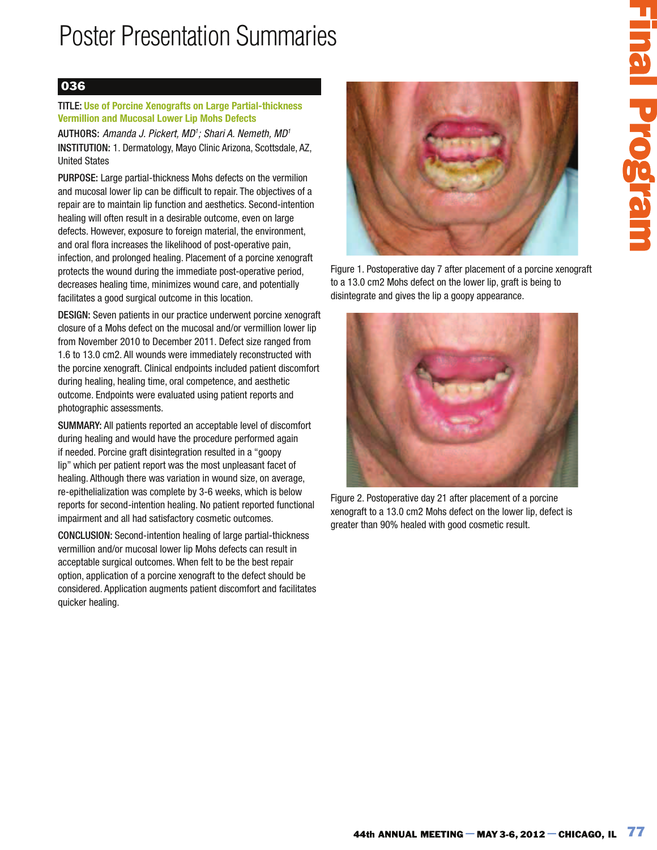## 036

#### TITLE: **Use of Porcine Xenografts on Large Partial-thickness Vermillion and Mucosal Lower Lip Mohs Defects**

AUTHORS: Amanda J. Pickert, MD<sup>1</sup>; Shari A. Nemeth, MD<sup>1</sup> INSTITUTION: 1. Dermatology, Mayo Clinic Arizona, Scottsdale, AZ, United States

PURPOSE: Large partial-thickness Mohs defects on the vermilion and mucosal lower lip can be difficult to repair. The objectives of a repair are to maintain lip function and aesthetics. Second-intention healing will often result in a desirable outcome, even on large defects. However, exposure to foreign material, the environment, and oral flora increases the likelihood of post-operative pain, infection, and prolonged healing. Placement of a porcine xenograft protects the wound during the immediate post-operative period, decreases healing time, minimizes wound care, and potentially facilitates a good surgical outcome in this location.

DESIGN: Seven patients in our practice underwent porcine xenograft closure of a Mohs defect on the mucosal and/or vermillion lower lip from November 2010 to December 2011. Defect size ranged from 1.6 to 13.0 cm2. All wounds were immediately reconstructed with the porcine xenograft. Clinical endpoints included patient discomfort during healing, healing time, oral competence, and aesthetic outcome. Endpoints were evaluated using patient reports and photographic assessments.

SUMMARY: All patients reported an acceptable level of discomfort during healing and would have the procedure performed again if needed. Porcine graft disintegration resulted in a "goopy lip" which per patient report was the most unpleasant facet of healing. Although there was variation in wound size, on average, re-epithelialization was complete by 3-6 weeks, which is below reports for second-intention healing. No patient reported functional impairment and all had satisfactory cosmetic outcomes.

CONCLUSION: Second-intention healing of large partial-thickness vermillion and/or mucosal lower lip Mohs defects can result in acceptable surgical outcomes. When felt to be the best repair option, application of a porcine xenograft to the defect should be considered. Application augments patient discomfort and facilitates quicker healing.



Figure 1. Postoperative day 7 after placement of a porcine xenograft to a 13.0 cm2 Mohs defect on the lower lip, graft is being to disintegrate and gives the lip a goopy appearance.



Figure 2. Postoperative day 21 after placement of a porcine xenograft to a 13.0 cm2 Mohs defect on the lower lip, defect is greater than 90% healed with good cosmetic result.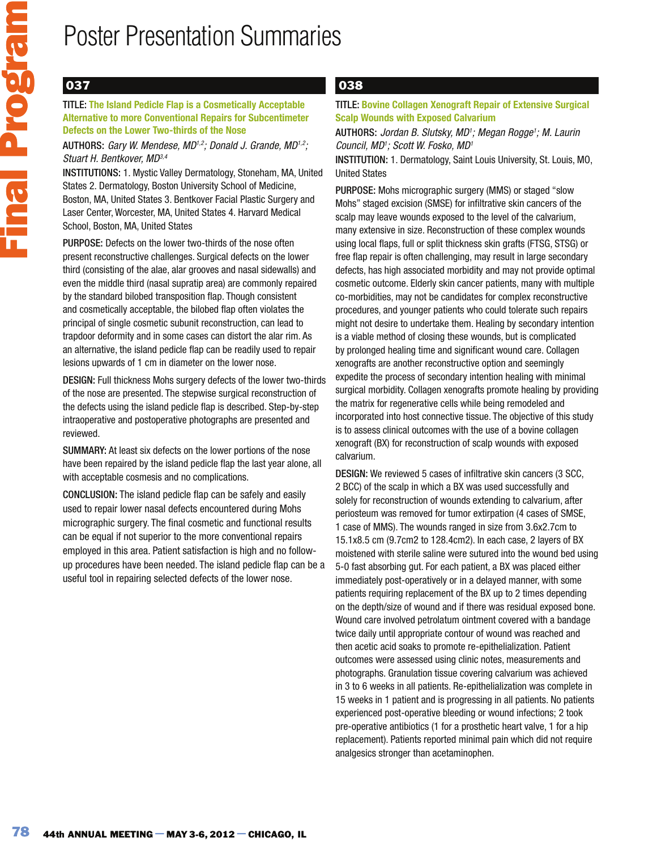## 037

TITLE: **The Island Pedicle Flap is a Cosmetically Acceptable Alternative to more Conventional Repairs for Subcentimeter Defects on the Lower Two-thirds of the Nose**

AUTHORS: Gary W. Mendese, MD<sup>1,2</sup>; Donald J. Grande, MD<sup>1,2</sup>; Stuart H. Bentkover, MD<sup>3,4</sup>

INSTITUTIONS: 1. Mystic Valley Dermatology, Stoneham, MA, United States 2. Dermatology, Boston University School of Medicine, Boston, MA, United States 3. Bentkover Facial Plastic Surgery and Laser Center, Worcester, MA, United States 4. Harvard Medical School, Boston, MA, United States

PURPOSE: Defects on the lower two-thirds of the nose often present reconstructive challenges. Surgical defects on the lower third (consisting of the alae, alar grooves and nasal sidewalls) and even the middle third (nasal supratip area) are commonly repaired by the standard bilobed transposition flap. Though consistent and cosmetically acceptable, the bilobed flap often violates the principal of single cosmetic subunit reconstruction, can lead to trapdoor deformity and in some cases can distort the alar rim. As an alternative, the island pedicle flap can be readily used to repair lesions upwards of 1 cm in diameter on the lower nose.

DESIGN: Full thickness Mohs surgery defects of the lower two-thirds of the nose are presented. The stepwise surgical reconstruction of the defects using the island pedicle flap is described. Step-by-step intraoperative and postoperative photographs are presented and reviewed.

SUMMARY: At least six defects on the lower portions of the nose have been repaired by the island pedicle flap the last year alone, all with acceptable cosmesis and no complications.

CONCLUSION: The island pedicle flap can be safely and easily used to repair lower nasal defects encountered during Mohs micrographic surgery. The final cosmetic and functional results can be equal if not superior to the more conventional repairs employed in this area. Patient satisfaction is high and no followup procedures have been needed. The island pedicle flap can be a useful tool in repairing selected defects of the lower nose.

## 038

TITLE: **Bovine Collagen Xenograft Repair of Extensive Surgical Scalp Wounds with Exposed Calvarium** 

AUTHORS: Jordan B. Slutsky, MD<sup>1</sup>; Megan Rogge<sup>1</sup>; M. Laurin Council, MD<sup>1</sup> ; Scott W. Fosko, MD<sup>1</sup>

INSTITUTION: 1. Dermatology, Saint Louis University, St. Louis, MO, United States

PURPOSE: Mohs micrographic surgery (MMS) or staged "slow Mohs" staged excision (SMSE) for infiltrative skin cancers of the scalp may leave wounds exposed to the level of the calvarium, many extensive in size. Reconstruction of these complex wounds using local flaps, full or split thickness skin grafts (FTSG, STSG) or free flap repair is often challenging, may result in large secondary defects, has high associated morbidity and may not provide optimal cosmetic outcome. Elderly skin cancer patients, many with multiple co-morbidities, may not be candidates for complex reconstructive procedures, and younger patients who could tolerate such repairs might not desire to undertake them. Healing by secondary intention is a viable method of closing these wounds, but is complicated by prolonged healing time and significant wound care. Collagen xenografts are another reconstructive option and seemingly expedite the process of secondary intention healing with minimal surgical morbidity. Collagen xenografts promote healing by providing the matrix for regenerative cells while being remodeled and incorporated into host connective tissue. The objective of this study is to assess clinical outcomes with the use of a bovine collagen xenograft (BX) for reconstruction of scalp wounds with exposed calvarium.

DESIGN: We reviewed 5 cases of infiltrative skin cancers (3 SCC, 2 BCC) of the scalp in which a BX was used successfully and solely for reconstruction of wounds extending to calvarium, after periosteum was removed for tumor extirpation (4 cases of SMSE, 1 case of MMS). The wounds ranged in size from 3.6x2.7cm to 15.1x8.5 cm (9.7cm2 to 128.4cm2). In each case, 2 layers of BX moistened with sterile saline were sutured into the wound bed using 5-0 fast absorbing gut. For each patient, a BX was placed either immediately post-operatively or in a delayed manner, with some patients requiring replacement of the BX up to 2 times depending on the depth/size of wound and if there was residual exposed bone. Wound care involved petrolatum ointment covered with a bandage twice daily until appropriate contour of wound was reached and then acetic acid soaks to promote re-epithelialization. Patient outcomes were assessed using clinic notes, measurements and photographs. Granulation tissue covering calvarium was achieved in 3 to 6 weeks in all patients. Re-epithelialization was complete in 15 weeks in 1 patient and is progressing in all patients. No patients experienced post-operative bleeding or wound infections; 2 took pre-operative antibiotics (1 for a prosthetic heart valve, 1 for a hip replacement). Patients reported minimal pain which did not require analgesics stronger than acetaminophen.